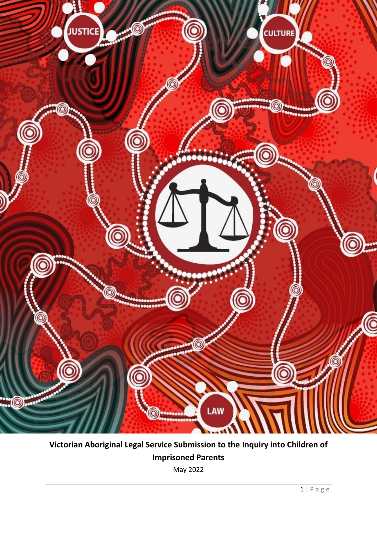

**Victorian Aboriginal Legal Service Submission to the Inquiry into Children of Imprisoned Parents**

May 2022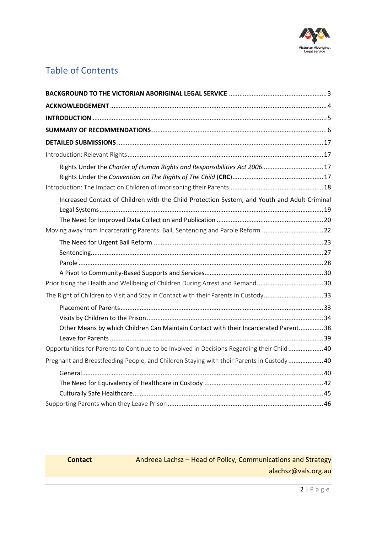

# Table of Contents

| Rights Under the Charter of Human Rights and Responsibilities Act 2006 17                    |  |
|----------------------------------------------------------------------------------------------|--|
|                                                                                              |  |
|                                                                                              |  |
| Increased Contact of Children with the Child Protection System, and Youth and Adult Criminal |  |
|                                                                                              |  |
|                                                                                              |  |
| Moving away from Incarcerating Parents: Bail, Sentencing and Parole Reform 22                |  |
|                                                                                              |  |
|                                                                                              |  |
|                                                                                              |  |
|                                                                                              |  |
|                                                                                              |  |
| The Right of Children to Visit and Stay in Contact with their Parents in Custody33           |  |
|                                                                                              |  |
|                                                                                              |  |
| Other Means by which Children Can Maintain Contact with their Incarcerated Parent 38         |  |
|                                                                                              |  |
| Opportunities for Parents to Continue to be Involved in Decisions Regarding their Child 40   |  |
| Pregnant and Breastfeeding People, and Children Staying with their Parents in Custody 40     |  |
|                                                                                              |  |
|                                                                                              |  |
|                                                                                              |  |
|                                                                                              |  |

## **Contact Andreea Lachsz – Head of Policy, Communications and Strategy** [alachsz@vals.org.au](mailto:alachsz@vals.org.au)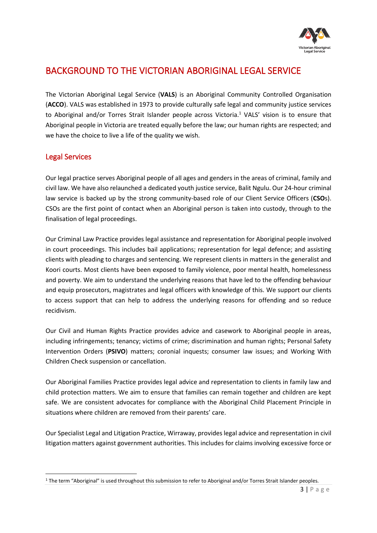

# <span id="page-2-0"></span>BACKGROUND TO THE VICTORIAN ABORIGINAL LEGAL SERVICE

The Victorian Aboriginal Legal Service (**VALS**) is an Aboriginal Community Controlled Organisation (**ACCO**). VALS was established in 1973 to provide culturally safe legal and community justice services to Aboriginal and/or Torres Strait Islander people across Victoria.<sup>1</sup> VALS' vision is to ensure that Aboriginal people in Victoria are treated equally before the law; our human rights are respected; and we have the choice to live a life of the quality we wish.

## Legal Services

Our legal practice serves Aboriginal people of all ages and genders in the areas of criminal, family and civil law. We have also relaunched a dedicated youth justice service, Balit Ngulu. Our 24-hour criminal law service is backed up by the strong community-based role of our Client Service Officers (**CSO**s). CSOs are the first point of contact when an Aboriginal person is taken into custody, through to the finalisation of legal proceedings.

Our Criminal Law Practice provides legal assistance and representation for Aboriginal people involved in court proceedings. This includes bail applications; representation for legal defence; and assisting clients with pleading to charges and sentencing. We represent clients in matters in the generalist and Koori courts. Most clients have been exposed to family violence, poor mental health, homelessness and poverty. We aim to understand the underlying reasons that have led to the offending behaviour and equip prosecutors, magistrates and legal officers with knowledge of this. We support our clients to access support that can help to address the underlying reasons for offending and so reduce recidivism.

Our Civil and Human Rights Practice provides advice and casework to Aboriginal people in areas, including infringements; tenancy; victims of crime; discrimination and human rights; Personal Safety Intervention Orders (**PSIVO**) matters; coronial inquests; consumer law issues; and Working With Children Check suspension or cancellation.

Our Aboriginal Families Practice provides legal advice and representation to clients in family law and child protection matters. We aim to ensure that families can remain together and children are kept safe. We are consistent advocates for compliance with the Aboriginal Child Placement Principle in situations where children are removed from their parents' care.

Our Specialist Legal and Litigation Practice, Wirraway, provides legal advice and representation in civil litigation matters against government authorities. This includes for claims involving excessive force or

<sup>&</sup>lt;sup>1</sup> The term "Aboriginal" is used throughout this submission to refer to Aboriginal and/or Torres Strait Islander peoples.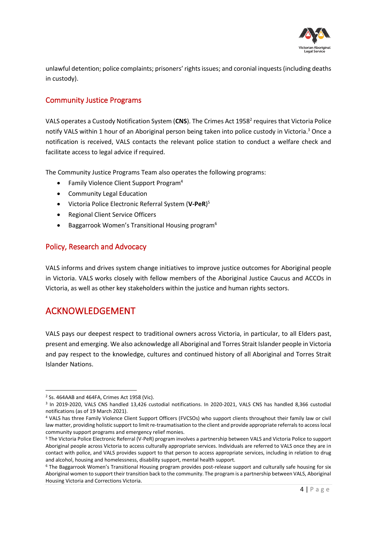

unlawful detention; police complaints; prisoners' rights issues; and coronial inquests (including deaths in custody).

## Community Justice Programs

VALS operates a Custody Notification System (CNS). The Crimes Act 1958<sup>2</sup> requires that Victoria Police notify VALS within 1 hour of an Aboriginal person being taken into police custody in Victoria. <sup>3</sup> Once a notification is received, VALS contacts the relevant police station to conduct a welfare check and facilitate access to legal advice if required.

The Community Justice Programs Team also operates the following programs:

- Family Violence Client Support Program<sup>4</sup>
- Community Legal Education
- Victoria Police Electronic Referral System (**V-PeR**) 5
- Regional Client Service Officers
- Baggarrook Women's Transitional Housing program<sup>6</sup>

## Policy, Research and Advocacy

VALS informs and drives system change initiatives to improve justice outcomes for Aboriginal people in Victoria. VALS works closely with fellow members of the Aboriginal Justice Caucus and ACCOs in Victoria, as well as other key stakeholders within the justice and human rights sectors.

# <span id="page-3-0"></span>ACKNOWLEDGEMENT

VALS pays our deepest respect to traditional owners across Victoria, in particular, to all Elders past, present and emerging. We also acknowledge all Aboriginal and Torres Strait Islander people in Victoria and pay respect to the knowledge, cultures and continued history of all Aboriginal and Torres Strait Islander Nations.

<sup>2</sup> Ss. 464AAB and 464FA, Crimes Act 1958 (Vic).

<sup>3</sup> In 2019-2020, VALS CNS handled 13,426 custodial notifications. In 2020-2021, VALS CNS has handled 8,366 custodial notifications (as of 19 March 2021).

<sup>4</sup> VALS has three Family Violence Client Support Officers (FVCSOs) who support clients throughout their family law or civil law matter, providing holistic support to limit re-traumatisation to the client and provide appropriate referrals to access local community support programs and emergency relief monies.

<sup>5</sup> The Victoria Police Electronic Referral (V-PeR) program involves a partnership between VALS and Victoria Police to support Aboriginal people across Victoria to access culturally appropriate services. Individuals are referred to VALS once they are in contact with police, and VALS provides support to that person to access appropriate services, including in relation to drug and alcohol, housing and homelessness, disability support, mental health support.

<sup>6</sup> The Baggarrook Women's Transitional Housing program provides post-release support and culturally safe housing for six Aboriginal women to support their transition back to the community. The program is a partnership between VALS, Aboriginal Housing Victoria and Corrections Victoria.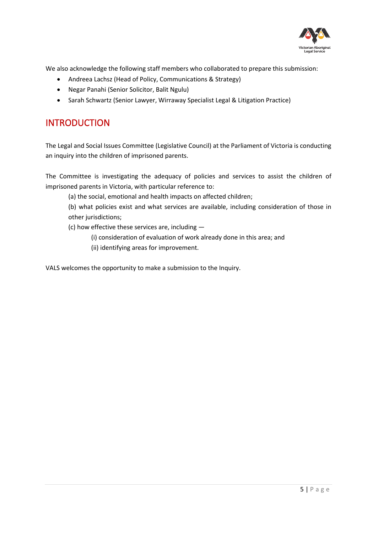

We also acknowledge the following staff members who collaborated to prepare this submission:

- Andreea Lachsz (Head of Policy, Communications & Strategy)
- Negar Panahi (Senior Solicitor, Balit Ngulu)
- Sarah Schwartz (Senior Lawyer, Wirraway Specialist Legal & Litigation Practice)

# <span id="page-4-0"></span>INTRODUCTION

The Legal and Social Issues Committee (Legislative Council) at the Parliament of Victoria is conducting an inquiry into the children of imprisoned parents.

The Committee is investigating the adequacy of policies and services to assist the children of imprisoned parents in Victoria, with particular reference to:

(a) the social, emotional and health impacts on affected children;

(b) what policies exist and what services are available, including consideration of those in other jurisdictions;

(c) how effective these services are, including —

- (i) consideration of evaluation of work already done in this area; and
- (ii) identifying areas for improvement.

VALS welcomes the opportunity to make a submission to the Inquiry.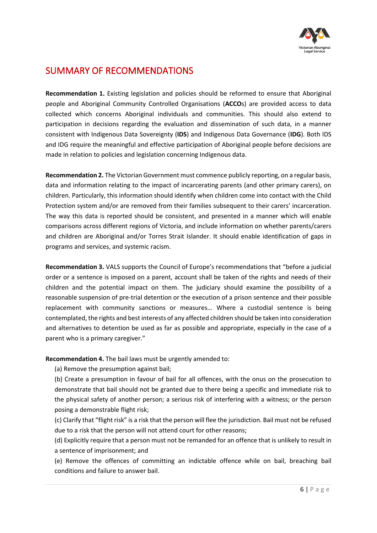

# <span id="page-5-0"></span>SUMMARY OF RECOMMENDATIONS

**Recommendation 1.** Existing legislation and policies should be reformed to ensure that Aboriginal people and Aboriginal Community Controlled Organisations (**ACCO**s) are provided access to data collected which concerns Aboriginal individuals and communities. This should also extend to participation in decisions regarding the evaluation and dissemination of such data, in a manner consistent with Indigenous Data Sovereignty (**IDS**) and Indigenous Data Governance (**IDG**). Both IDS and IDG require the meaningful and effective participation of Aboriginal people before decisions are made in relation to policies and legislation concerning Indigenous data.

**Recommendation 2.** The Victorian Government must commence publicly reporting, on a regular basis, data and information relating to the impact of incarcerating parents (and other primary carers), on children. Particularly, this information should identify when children come into contact with the Child Protection system and/or are removed from their families subsequent to their carers' incarceration. The way this data is reported should be consistent, and presented in a manner which will enable comparisons across different regions of Victoria, and include information on whether parents/carers and children are Aboriginal and/or Torres Strait Islander. It should enable identification of gaps in programs and services, and systemic racism.

**Recommendation 3.** VALS supports the Council of Europe's recommendations that "before a judicial order or a sentence is imposed on a parent, account shall be taken of the rights and needs of their children and the potential impact on them. The judiciary should examine the possibility of a reasonable suspension of pre-trial detention or the execution of a prison sentence and their possible replacement with community sanctions or measures… Where a custodial sentence is being contemplated, the rights and best interests of any affected children should be taken into consideration and alternatives to detention be used as far as possible and appropriate, especially in the case of a parent who is a primary caregiver."

**Recommendation 4.** The bail laws must be urgently amended to:

(a) Remove the presumption against bail;

(b) Create a presumption in favour of bail for all offences, with the onus on the prosecution to demonstrate that bail should not be granted due to there being a specific and immediate risk to the physical safety of another person; a serious risk of interfering with a witness; or the person posing a demonstrable flight risk;

(c) Clarify that "flight risk" is a risk that the person will flee the jurisdiction. Bail must not be refused due to a risk that the person will not attend court for other reasons;

(d) Explicitly require that a person must not be remanded for an offence that is unlikely to result in a sentence of imprisonment; and

(e) Remove the offences of committing an indictable offence while on bail, breaching bail conditions and failure to answer bail.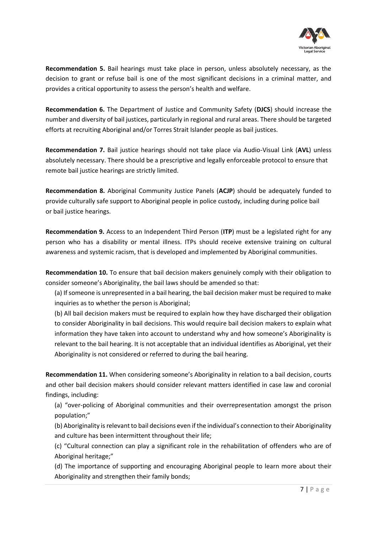

**Recommendation 5.** Bail hearings must take place in person, unless absolutely necessary, as the decision to grant or refuse bail is one of the most significant decisions in a criminal matter, and provides a critical opportunity to assess the person's health and welfare.

**Recommendation 6.** The Department of Justice and Community Safety (**DJCS**) should increase the number and diversity of bail justices, particularly in regional and rural areas. There should be targeted efforts at recruiting Aboriginal and/or Torres Strait Islander people as bail justices.

**Recommendation 7.** Bail justice hearings should not take place via Audio-Visual Link (**AVL**) unless absolutely necessary. There should be a prescriptive and legally enforceable protocol to ensure that remote bail justice hearings are strictly limited.

**Recommendation 8.** Aboriginal Community Justice Panels (**ACJP**) should be adequately funded to provide culturally safe support to Aboriginal people in police custody, including during police bail or bail justice hearings.

**Recommendation 9.** Access to an Independent Third Person (**ITP**) must be a legislated right for any person who has a disability or mental illness. ITPs should receive extensive training on cultural awareness and systemic racism, that is developed and implemented by Aboriginal communities.

**Recommendation 10.** To ensure that bail decision makers genuinely comply with their obligation to consider someone's Aboriginality, the bail laws should be amended so that:

(a) If someone is unrepresented in a bail hearing, the bail decision maker must be required to make inquiries as to whether the person is Aboriginal;

(b) All bail decision makers must be required to explain how they have discharged their obligation to consider Aboriginality in bail decisions. This would require bail decision makers to explain what information they have taken into account to understand why and how someone's Aboriginality is relevant to the bail hearing. It is not acceptable that an individual identifies as Aboriginal, yet their Aboriginality is not considered or referred to during the bail hearing.

**Recommendation 11.** When considering someone's Aboriginality in relation to a bail decision, courts and other bail decision makers should consider relevant matters identified in case law and coronial findings, including:

(a) "over-policing of Aboriginal communities and their overrepresentation amongst the prison population;"

(b) Aboriginality is relevant to bail decisions even if the individual's connection to their Aboriginality and culture has been intermittent throughout their life;

(c) "Cultural connection can play a significant role in the rehabilitation of offenders who are of Aboriginal heritage;"

(d) The importance of supporting and encouraging Aboriginal people to learn more about their Aboriginality and strengthen their family bonds;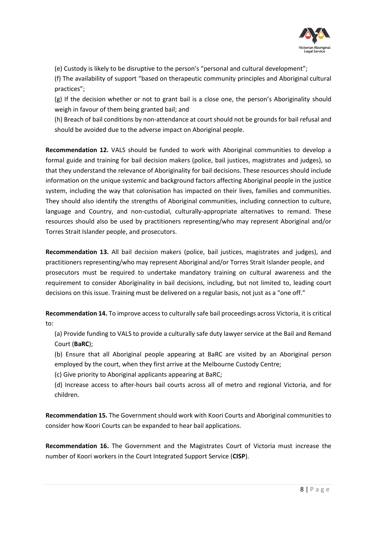

(e) Custody is likely to be disruptive to the person's "personal and cultural development";

(f) The availability of support "based on therapeutic community principles and Aboriginal cultural practices";

(g) If the decision whether or not to grant bail is a close one, the person's Aboriginality should weigh in favour of them being granted bail; and

(h) Breach of bail conditions by non-attendance at court should not be grounds for bail refusal and should be avoided due to the adverse impact on Aboriginal people.

**Recommendation 12.** VALS should be funded to work with Aboriginal communities to develop a formal guide and training for bail decision makers (police, bail justices, magistrates and judges), so that they understand the relevance of Aboriginality for bail decisions. These resources should include information on the unique systemic and background factors affecting Aboriginal people in the justice system, including the way that colonisation has impacted on their lives, families and communities. They should also identify the strengths of Aboriginal communities, including connection to culture, language and Country, and non-custodial, culturally-appropriate alternatives to remand. These resources should also be used by practitioners representing/who may represent Aboriginal and/or Torres Strait Islander people, and prosecutors.

**Recommendation 13.** All bail decision makers (police, bail justices, magistrates and judges), and practitioners representing/who may represent Aboriginal and/or Torres Strait Islander people, and prosecutors must be required to undertake mandatory training on cultural awareness and the requirement to consider Aboriginality in bail decisions, including, but not limited to, leading court decisions on this issue. Training must be delivered on a regular basis, not just as a "one off."

**Recommendation 14.** To improve access to culturally safe bail proceedings across Victoria, it is critical to:

(a) Provide funding to VALS to provide a culturally safe duty lawyer service at the Bail and Remand Court (**BaRC**);

(b) Ensure that all Aboriginal people appearing at BaRC are visited by an Aboriginal person employed by the court, when they first arrive at the Melbourne Custody Centre;

(c) Give priority to Aboriginal applicants appearing at BaRC;

(d) Increase access to after-hours bail courts across all of metro and regional Victoria, and for children.

**Recommendation 15.** The Government should work with Koori Courts and Aboriginal communities to consider how Koori Courts can be expanded to hear bail applications.

**Recommendation 16.** The Government and the Magistrates Court of Victoria must increase the number of Koori workers in the Court Integrated Support Service (**CISP**).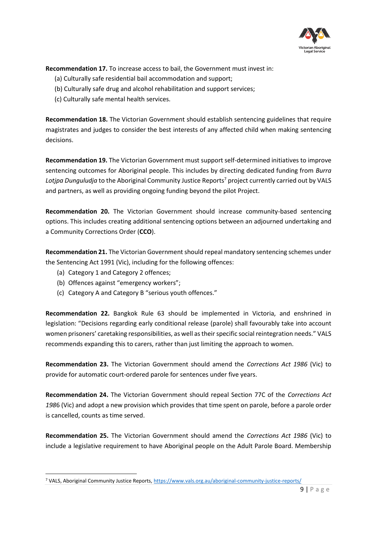

**Recommendation 17.** To increase access to bail, the Government must invest in:

- (a) Culturally safe residential bail accommodation and support;
- (b) Culturally safe drug and alcohol rehabilitation and support services;
- (c) Culturally safe mental health services.

**Recommendation 18.** The Victorian Government should establish sentencing guidelines that require magistrates and judges to consider the best interests of any affected child when making sentencing decisions.

**Recommendation 19.** The Victorian Government must support self-determined initiatives to improve sentencing outcomes for Aboriginal people. This includes by directing dedicated funding from *Burra*  Lotipa Dunguludja to the Aboriginal Community Justice Reports<sup>7</sup> project currently carried out by VALS and partners, as well as providing ongoing funding beyond the pilot Project.

**Recommendation 20.** The Victorian Government should increase community-based sentencing options. This includes creating additional sentencing options between an adjourned undertaking and a Community Corrections Order (**CCO**).

**Recommendation 21.** The Victorian Government should repeal mandatory sentencing schemes under the Sentencing Act 1991 (Vic), including for the following offences:

- (a) Category 1 and Category 2 offences;
- (b) Offences against "emergency workers";
- (c) Category A and Category B "serious youth offences."

**Recommendation 22.** Bangkok Rule 63 should be implemented in Victoria, and enshrined in legislation: "Decisions regarding early conditional release (parole) shall favourably take into account women prisoners' caretaking responsibilities, as well as their specific social reintegration needs." VALS recommends expanding this to carers, rather than just limiting the approach to women.

**Recommendation 23.** The Victorian Government should amend the *Corrections Act 1986* (Vic) to provide for automatic court-ordered parole for sentences under five years.

**Recommendation 24.** The Victorian Government should repeal Section 77C of the *Corrections Act 198*6 (Vic) and adopt a new provision which provides that time spent on parole, before a parole order is cancelled, counts as time served.

**Recommendation 25.** The Victorian Government should amend the *Corrections Act 1986* (Vic) to include a legislative requirement to have Aboriginal people on the Adult Parole Board. Membership

<sup>7</sup> VALS, Aboriginal Community Justice Reports,<https://www.vals.org.au/aboriginal-community-justice-reports/>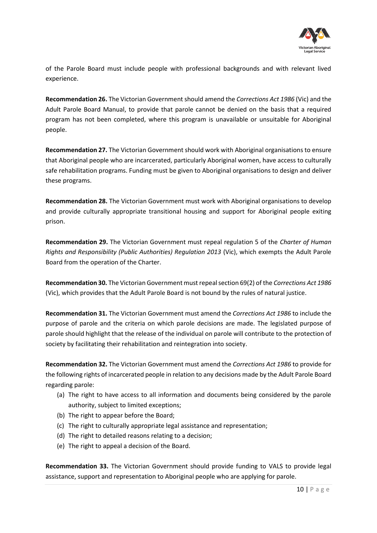

of the Parole Board must include people with professional backgrounds and with relevant lived experience.

**Recommendation 26.** The Victorian Government should amend the *Corrections Act 1986* (Vic) and the Adult Parole Board Manual, to provide that parole cannot be denied on the basis that a required program has not been completed, where this program is unavailable or unsuitable for Aboriginal people.

**Recommendation 27.** The Victorian Government should work with Aboriginal organisations to ensure that Aboriginal people who are incarcerated, particularly Aboriginal women, have access to culturally safe rehabilitation programs. Funding must be given to Aboriginal organisations to design and deliver these programs.

**Recommendation 28.** The Victorian Government must work with Aboriginal organisations to develop and provide culturally appropriate transitional housing and support for Aboriginal people exiting prison.

**Recommendation 29.** The Victorian Government must repeal regulation 5 of the *Charter of Human Rights and Responsibility (Public Authorities) Regulation 2013* (Vic), which exempts the Adult Parole Board from the operation of the Charter.

**Recommendation 30.** The Victorian Government must repeal section 69(2) of the *Corrections Act 1986* (Vic), which provides that the Adult Parole Board is not bound by the rules of natural justice.

**Recommendation 31.** The Victorian Government must amend the *Corrections Act 1986* to include the purpose of parole and the criteria on which parole decisions are made. The legislated purpose of parole should highlight that the release of the individual on parole will contribute to the protection of society by facilitating their rehabilitation and reintegration into society.

**Recommendation 32.** The Victorian Government must amend the *Corrections Act 1986* to provide for the following rights of incarcerated people in relation to any decisions made by the Adult Parole Board regarding parole:

- (a) The right to have access to all information and documents being considered by the parole authority, subject to limited exceptions;
- (b) The right to appear before the Board;
- (c) The right to culturally appropriate legal assistance and representation;
- (d) The right to detailed reasons relating to a decision;
- (e) The right to appeal a decision of the Board.

**Recommendation 33.** The Victorian Government should provide funding to VALS to provide legal assistance, support and representation to Aboriginal people who are applying for parole.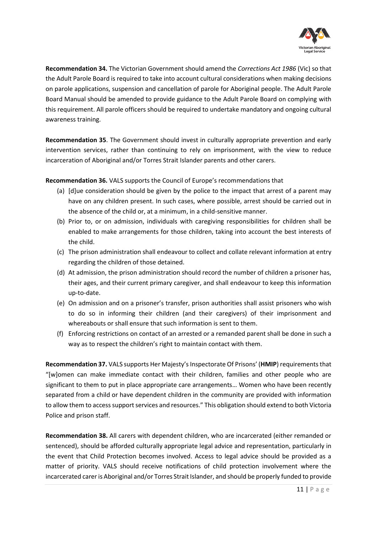

**Recommendation 34.** The Victorian Government should amend the *Corrections Act 1986* (Vic) so that the Adult Parole Board is required to take into account cultural considerations when making decisions on parole applications, suspension and cancellation of parole for Aboriginal people. The Adult Parole Board Manual should be amended to provide guidance to the Adult Parole Board on complying with this requirement. All parole officers should be required to undertake mandatory and ongoing cultural awareness training.

**Recommendation 35**. The Government should invest in culturally appropriate prevention and early intervention services, rather than continuing to rely on imprisonment, with the view to reduce incarceration of Aboriginal and/or Torres Strait Islander parents and other carers.

**Recommendation 36.** VALS supports the Council of Europe's recommendations that

- (a) [d]ue consideration should be given by the police to the impact that arrest of a parent may have on any children present. In such cases, where possible, arrest should be carried out in the absence of the child or, at a minimum, in a child-sensitive manner.
- (b) Prior to, or on admission, individuals with caregiving responsibilities for children shall be enabled to make arrangements for those children, taking into account the best interests of the child.
- (c) The prison administration shall endeavour to collect and collate relevant information at entry regarding the children of those detained.
- (d) At admission, the prison administration should record the number of children a prisoner has, their ages, and their current primary caregiver, and shall endeavour to keep this information up-to-date.
- (e) On admission and on a prisoner's transfer, prison authorities shall assist prisoners who wish to do so in informing their children (and their caregivers) of their imprisonment and whereabouts or shall ensure that such information is sent to them.
- (f) Enforcing restrictions on contact of an arrested or a remanded parent shall be done in such a way as to respect the children's right to maintain contact with them.

**Recommendation 37.** VALS supports Her Majesty's Inspectorate Of Prisons' (**HMIP**) requirements that "[w]omen can make immediate contact with their children, families and other people who are significant to them to put in place appropriate care arrangements… Women who have been recently separated from a child or have dependent children in the community are provided with information to allow them to access support services and resources." This obligation should extend to both Victoria Police and prison staff.

**Recommendation 38.** All carers with dependent children, who are incarcerated (either remanded or sentenced), should be afforded culturally appropriate legal advice and representation, particularly in the event that Child Protection becomes involved. Access to legal advice should be provided as a matter of priority. VALS should receive notifications of child protection involvement where the incarcerated carer is Aboriginal and/or Torres Strait Islander, and should be properly funded to provide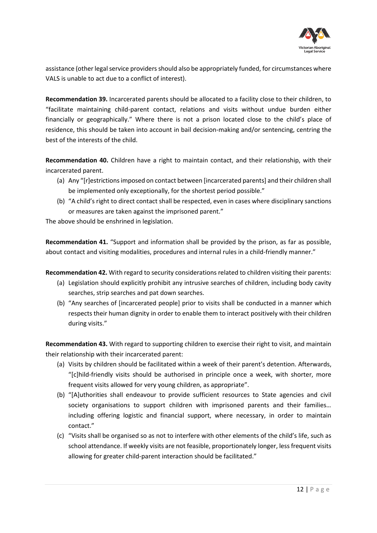

assistance (other legal service providers should also be appropriately funded, for circumstances where VALS is unable to act due to a conflict of interest).

**Recommendation 39.** Incarcerated parents should be allocated to a facility close to their children, to "facilitate maintaining child-parent contact, relations and visits without undue burden either financially or geographically." Where there is not a prison located close to the child's place of residence, this should be taken into account in bail decision-making and/or sentencing, centring the best of the interests of the child.

**Recommendation 40.** Children have a right to maintain contact, and their relationship, with their incarcerated parent.

- (a) Any "[r]estrictions imposed on contact between [incarcerated parents] and their children shall be implemented only exceptionally, for the shortest period possible."
- (b) "A child's right to direct contact shall be respected, even in cases where disciplinary sanctions or measures are taken against the imprisoned parent."

The above should be enshrined in legislation.

**Recommendation 41.** "Support and information shall be provided by the prison, as far as possible, about contact and visiting modalities, procedures and internal rules in a child-friendly manner."

**Recommendation 42.** With regard to security considerations related to children visiting their parents:

- (a) Legislation should explicitly prohibit any intrusive searches of children, including body cavity searches, strip searches and pat down searches.
- (b) "Any searches of [incarcerated people] prior to visits shall be conducted in a manner which respects their human dignity in order to enable them to interact positively with their children during visits."

**Recommendation 43.** With regard to supporting children to exercise their right to visit, and maintain their relationship with their incarcerated parent:

- (a) Visits by children should be facilitated within a week of their parent's detention. Afterwards, "[c]hild-friendly visits should be authorised in principle once a week, with shorter, more frequent visits allowed for very young children, as appropriate".
- (b) "[A]uthorities shall endeavour to provide sufficient resources to State agencies and civil society organisations to support children with imprisoned parents and their families… including offering logistic and financial support, where necessary, in order to maintain contact."
- (c) "Visits shall be organised so as not to interfere with other elements of the child's life, such as school attendance. If weekly visits are not feasible, proportionately longer, less frequent visits allowing for greater child-parent interaction should be facilitated."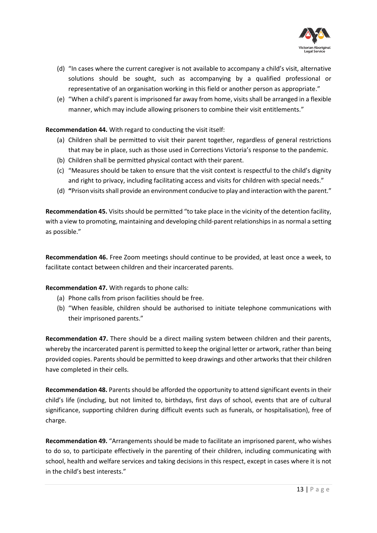

- (d) "In cases where the current caregiver is not available to accompany a child's visit, alternative solutions should be sought, such as accompanying by a qualified professional or representative of an organisation working in this field or another person as appropriate."
- (e) "When a child's parent is imprisoned far away from home, visits shall be arranged in a flexible manner, which may include allowing prisoners to combine their visit entitlements."

**Recommendation 44.** With regard to conducting the visit itself:

- (a) Children shall be permitted to visit their parent together, regardless of general restrictions that may be in place, such as those used in Corrections Victoria's response to the pandemic.
- (b) Children shall be permitted physical contact with their parent.
- (c) "Measures should be taken to ensure that the visit context is respectful to the child's dignity and right to privacy, including facilitating access and visits for children with special needs."
- (d) **"**Prison visits shall provide an environment conducive to play and interaction with the parent."

**Recommendation 45.** Visits should be permitted "to take place in the vicinity of the detention facility, with a view to promoting, maintaining and developing child-parent relationships in as normal a setting as possible."

**Recommendation 46.** Free Zoom meetings should continue to be provided, at least once a week, to facilitate contact between children and their incarcerated parents.

#### **Recommendation 47.** With regards to phone calls:

- (a) Phone calls from prison facilities should be free.
- (b) "When feasible, children should be authorised to initiate telephone communications with their imprisoned parents."

**Recommendation 47.** There should be a direct mailing system between children and their parents, whereby the incarcerated parent is permitted to keep the original letter or artwork, rather than being provided copies. Parents should be permitted to keep drawings and other artworks that their children have completed in their cells.

**Recommendation 48.** Parents should be afforded the opportunity to attend significant events in their child's life (including, but not limited to, birthdays, first days of school, events that are of cultural significance, supporting children during difficult events such as funerals, or hospitalisation), free of charge.

**Recommendation 49.** "Arrangements should be made to facilitate an imprisoned parent, who wishes to do so, to participate effectively in the parenting of their children, including communicating with school, health and welfare services and taking decisions in this respect, except in cases where it is not in the child's best interests."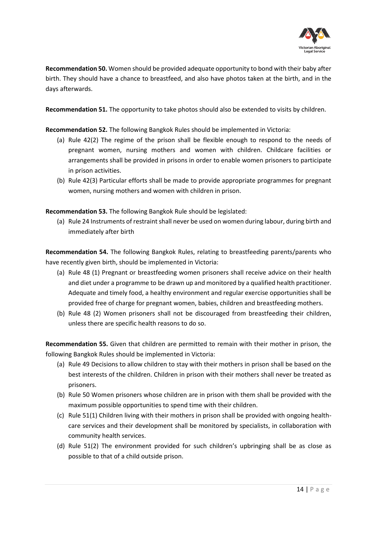

**Recommendation 50.** Women should be provided adequate opportunity to bond with their baby after birth. They should have a chance to breastfeed, and also have photos taken at the birth, and in the days afterwards.

**Recommendation 51.** The opportunity to take photos should also be extended to visits by children.

**Recommendation 52.** The following Bangkok Rules should be implemented in Victoria:

- (a) Rule 42(2) The regime of the prison shall be flexible enough to respond to the needs of pregnant women, nursing mothers and women with children. Childcare facilities or arrangements shall be provided in prisons in order to enable women prisoners to participate in prison activities.
- (b) Rule 42(3) Particular efforts shall be made to provide appropriate programmes for pregnant women, nursing mothers and women with children in prison.

**Recommendation 53.** The following Bangkok Rule should be legislated:

(a) Rule 24 Instruments of restraint shall never be used on women during labour, during birth and immediately after birth

**Recommendation 54.** The following Bangkok Rules, relating to breastfeeding parents/parents who have recently given birth, should be implemented in Victoria:

- (a) Rule 48 (1) Pregnant or breastfeeding women prisoners shall receive advice on their health and diet under a programme to be drawn up and monitored by a qualified health practitioner. Adequate and timely food, a healthy environment and regular exercise opportunities shall be provided free of charge for pregnant women, babies, children and breastfeeding mothers.
- (b) Rule 48 (2) Women prisoners shall not be discouraged from breastfeeding their children, unless there are specific health reasons to do so.

**Recommendation 55.** Given that children are permitted to remain with their mother in prison, the following Bangkok Rules should be implemented in Victoria:

- (a) Rule 49 Decisions to allow children to stay with their mothers in prison shall be based on the best interests of the children. Children in prison with their mothers shall never be treated as prisoners.
- (b) Rule 50 Women prisoners whose children are in prison with them shall be provided with the maximum possible opportunities to spend time with their children.
- (c) Rule 51(1) Children living with their mothers in prison shall be provided with ongoing healthcare services and their development shall be monitored by specialists, in collaboration with community health services.
- (d) Rule 51(2) The environment provided for such children's upbringing shall be as close as possible to that of a child outside prison.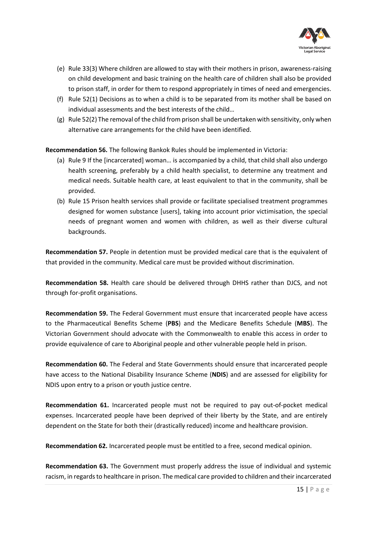

- (e) Rule 33(3) Where children are allowed to stay with their mothers in prison, awareness-raising on child development and basic training on the health care of children shall also be provided to prison staff, in order for them to respond appropriately in times of need and emergencies.
- (f) Rule 52(1) Decisions as to when a child is to be separated from its mother shall be based on individual assessments and the best interests of the child…
- (g) Rule 52(2) The removal of the child from prison shall be undertaken with sensitivity, only when alternative care arrangements for the child have been identified.

**Recommendation 56.** The following Bankok Rules should be implemented in Victoria:

- (a) Rule 9 If the [incarcerated] woman… is accompanied by a child, that child shall also undergo health screening, preferably by a child health specialist, to determine any treatment and medical needs. Suitable health care, at least equivalent to that in the community, shall be provided.
- (b) Rule 15 Prison health services shall provide or facilitate specialised treatment programmes designed for women substance [users], taking into account prior victimisation, the special needs of pregnant women and women with children, as well as their diverse cultural backgrounds.

**Recommendation 57.** People in detention must be provided medical care that is the equivalent of that provided in the community. Medical care must be provided without discrimination.

**Recommendation 58.** Health care should be delivered through DHHS rather than DJCS, and not through for-profit organisations.

**Recommendation 59.** The Federal Government must ensure that incarcerated people have access to the Pharmaceutical Benefits Scheme (**PBS**) and the Medicare Benefits Schedule (**MBS**). The Victorian Government should advocate with the Commonwealth to enable this access in order to provide equivalence of care to Aboriginal people and other vulnerable people held in prison.

**Recommendation 60.** The Federal and State Governments should ensure that incarcerated people have access to the National Disability Insurance Scheme (**NDIS**) and are assessed for eligibility for NDIS upon entry to a prison or youth justice centre.

**Recommendation 61.** Incarcerated people must not be required to pay out-of-pocket medical expenses. Incarcerated people have been deprived of their liberty by the State, and are entirely dependent on the State for both their (drastically reduced) income and healthcare provision.

**Recommendation 62.** Incarcerated people must be entitled to a free, second medical opinion.

**Recommendation 63.** The Government must properly address the issue of individual and systemic racism, in regards to healthcare in prison. The medical care provided to children and their incarcerated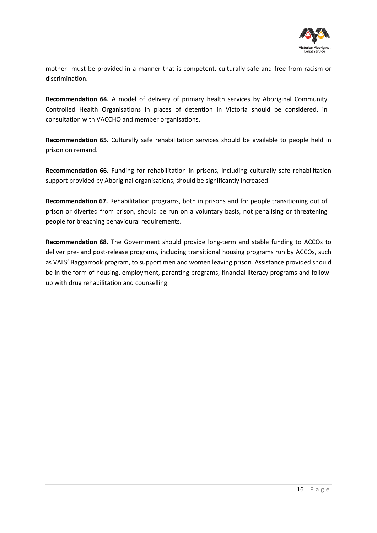

mother must be provided in a manner that is competent, culturally safe and free from racism or discrimination.

**Recommendation 64.** A model of delivery of primary health services by Aboriginal Community Controlled Health Organisations in places of detention in Victoria should be considered, in consultation with VACCHO and member organisations.

**Recommendation 65.** Culturally safe rehabilitation services should be available to people held in prison on remand.

**Recommendation 66.** Funding for rehabilitation in prisons, including culturally safe rehabilitation support provided by Aboriginal organisations, should be significantly increased.

**Recommendation 67.** Rehabilitation programs, both in prisons and for people transitioning out of prison or diverted from prison, should be run on a voluntary basis, not penalising or threatening people for breaching behavioural requirements.

**Recommendation 68.** The Government should provide long-term and stable funding to ACCOs to deliver pre- and post-release programs, including transitional housing programs run by ACCOs, such as VALS' Baggarrook program, to support men and women leaving prison. Assistance provided should be in the form of housing, employment, parenting programs, financial literacy programs and followup with drug rehabilitation and counselling.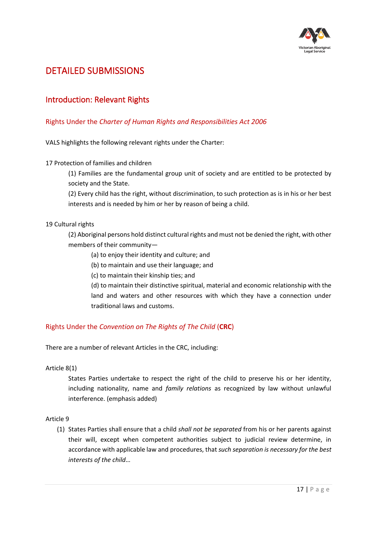

# <span id="page-16-0"></span>DETAILED SUBMISSIONS

## <span id="page-16-1"></span>Introduction: Relevant Rights

## <span id="page-16-2"></span>Rights Under the *Charter of Human Rights and Responsibilities Act 2006*

VALS highlights the following relevant rights under the Charter:

### 17 Protection of families and children

(1) Families are the fundamental group unit of society and are entitled to be protected by society and the State.

(2) Every child has the right, without discrimination, to such protection as is in his or her best interests and is needed by him or her by reason of being a child.

### 19 Cultural rights

(2) Aboriginal persons hold distinct cultural rights and must not be denied the right, with other members of their community—

- (a) to enjoy their identity and culture; and
- (b) to maintain and use their language; and
- (c) to maintain their kinship ties; and

(d) to maintain their distinctive spiritual, material and economic relationship with the land and waters and other resources with which they have a connection under traditional laws and customs.

## <span id="page-16-3"></span>Rights Under the *Convention on The Rights of The Child* (**CRC**)

There are a number of relevant Articles in the CRC, including:

#### Article 8(1)

States Parties undertake to respect the right of the child to preserve his or her identity, including nationality, name and *family relations* as recognized by law without unlawful interference. (emphasis added)

#### Article 9

(1) States Parties shall ensure that a child *shall not be separated* from his or her parents against their will, except when competent authorities subject to judicial review determine, in accordance with applicable law and procedures, that *such separation is necessary for the best interests of the child*…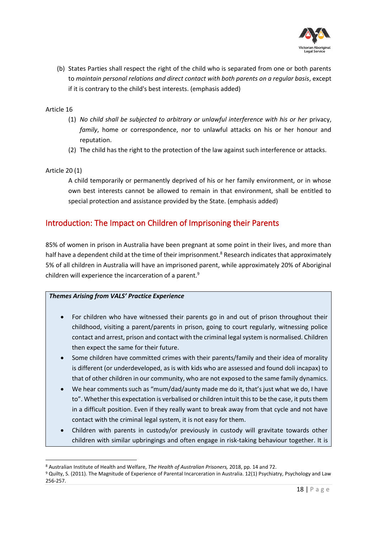

(b) States Parties shall respect the right of the child who is separated from one or both parents to *maintain personal relations and direct contact with both parents on a regular basis*, except if it is contrary to the child's best interests. (emphasis added)

## Article 16

- (1) *No child shall be subjected to arbitrary or unlawful interference with his or her* privacy, *family*, home or correspondence, nor to unlawful attacks on his or her honour and reputation.
- (2) The child has the right to the protection of the law against such interference or attacks.

### Article 20 (1)

A child temporarily or permanently deprived of his or her family environment, or in whose own best interests cannot be allowed to remain in that environment, shall be entitled to special protection and assistance provided by the State. (emphasis added)

## <span id="page-17-0"></span>Introduction: The Impact on Children of Imprisoning their Parents

85% of women in prison in Australia have been pregnant at some point in their lives, and more than half have a dependent child at the time of their imprisonment.<sup>8</sup> Research indicates that approximately 5% of all children in Australia will have an imprisoned parent, while approximately 20% of Aboriginal children will experience the incarceration of a parent.<sup>9</sup>

## *Themes Arising from VALS' Practice Experience*

- For children who have witnessed their parents go in and out of prison throughout their childhood, visiting a parent/parents in prison, going to court regularly, witnessing police contact and arrest, prison and contact with the criminal legal system is normalised. Children then expect the same for their future.
- Some children have committed crimes with their parents/family and their idea of morality is different (or underdeveloped, as is with kids who are assessed and found doli incapax) to that of other children in our community, who are not exposed to the same family dynamics.
- We hear comments such as "mum/dad/aunty made me do it, that's just what we do, I have to". Whether this expectation is verbalised or children intuit this to be the case, it puts them in a difficult position. Even if they really want to break away from that cycle and not have contact with the criminal legal system, it is not easy for them.
- Children with parents in custody/or previously in custody will gravitate towards other children with similar upbringings and often engage in risk-taking behaviour together. It is

<sup>8</sup> Australian Institute of Health and Welfare, *The Health of Australian Prisoners,* 2018, pp. 14 and 72.

<sup>9</sup> Quilty, S. (2011). The Magnitude of Experience of Parental Incarceration in Australia. 12(1) Psychiatry, Psychology and Law 256-257.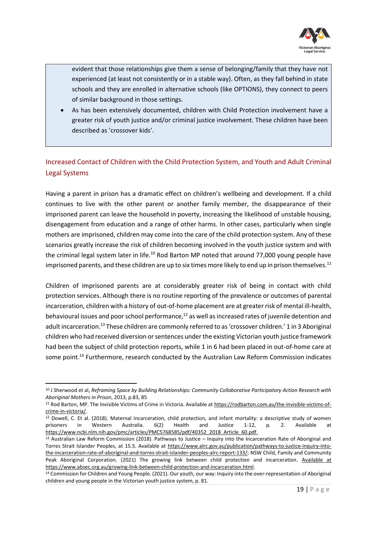

evident that those relationships give them a sense of belonging/family that they have not experienced (at least not consistently or in a stable way). Often, as they fall behind in state schools and they are enrolled in alternative schools (like OPTIONS), they connect to peers of similar background in those settings.

• As has been extensively documented, children with Child Protection involvement have a greater risk of youth justice and/or criminal justice involvement. These children have been described as 'crossover kids'.

## <span id="page-18-0"></span>Increased Contact of Children with the Child Protection System, and Youth and Adult Criminal Legal Systems

Having a parent in prison has a dramatic effect on children's wellbeing and development. If a child continues to live with the other parent or another family member, the disappearance of their imprisoned parent can leave the household in poverty, increasing the likelihood of unstable housing, disengagement from education and a range of other harms. In other cases, particularly when single mothers are imprisoned, children may come into the care of the child protection system. Any of these scenarios greatly increase the risk of children becoming involved in the youth justice system and with the criminal legal system later in life.<sup>10</sup> Rod Barton MP noted that around 77,000 young people have imprisoned parents, and these children are up to six times more likely to end up in prison themselves.<sup>11</sup>

Children of imprisoned parents are at considerably greater risk of being in contact with child protection services. Although there is no routine reporting of the prevalence or outcomes of parental incarceration, children with a history of out-of-home placement are at greater risk of mental ill-health, behavioural issues and poor school performance, $12$  as well as increased rates of juvenile detention and adult incarceration.<sup>13</sup> These children are commonly referred to as 'crossover children.' 1 in 3 Aboriginal children who had received diversion or sentences under the existing Victorian youth justice framework had been the subject of child protection reports, while 1 in 6 had been placed in out-of-home care at some point.<sup>14</sup> Furthermore, research conducted by the Australian Law Reform Commission indicates

<sup>10</sup> J Sherwood et al, *Reframing Space by Building Relationships: Community Collaborative Participatory Action Research with Aboriginal Mothers in Prison*, 2013, p.83, 85

<sup>&</sup>lt;sup>11</sup> Rod Barton, MP. The Invisible Victims of Crime in Victoria. Available a[t https://rodbarton.com.au/the-invisible-victims-of](https://rodbarton.com.au/the-invisible-victims-of-crime-in-victoria/)[crime-in-victoria/.](https://rodbarton.com.au/the-invisible-victims-of-crime-in-victoria/)

<sup>12</sup> Dowell, C. Et al. (2018). Maternal Incarceration, child protection, and infant mortality: a descriptive study of women prisoners in Western Australia. 6(2) Health and Justice 1-12, p. 2. Available at [https://www.ncbi.nlm.nih.gov/pmc/articles/PMC5768585/pdf/40352\\_2018\\_Article\\_60.pdf.](https://www.ncbi.nlm.nih.gov/pmc/articles/PMC5768585/pdf/40352_2018_Article_60.pdf)

 $13$  Australian Law Reform Commission (2018). Pathways to Justice – Inquiry into the Incarceration Rate of Aboriginal and Torres Strait Islander Peoples, at 15.5. Available at [https://www.alrc.gov.au/publication/pathways-to-justice-inquiry-into](https://www.alrc.gov.au/publication/pathways-to-justice-inquiry-into-the-incarceration-rate-of-aboriginal-and-torres-strait-islander-peoples-alrc-report-133/)[the-incarceration-rate-of-aboriginal-and-torres-strait-islander-peoples-alrc-report-133/;](https://www.alrc.gov.au/publication/pathways-to-justice-inquiry-into-the-incarceration-rate-of-aboriginal-and-torres-strait-islander-peoples-alrc-report-133/) NSW Child, Family and Community Peak Aboriginal Corporation. (2021) The growing link between child protection and incarceration. Available at [https://www.absec.org.au/growing-link-between-child-protection-and-incarceration.html.](https://valsorg-my.sharepoint.com/personal/fpeace_vals_org_au/Documents/Desktop/Available%20at%20https:/www.absec.org.au/growing-link-between-child-protection-and-incarceration.html)

<sup>14</sup> Commission for Children and Young People. (2021). Our youth, our way: Inquiry into the over-representation of Aboriginal children and young people in the Victorian youth justice system, p. 81.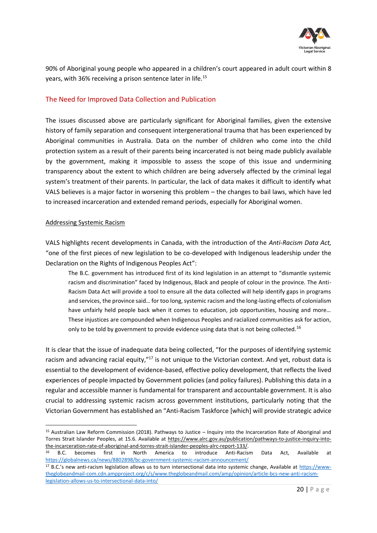

90% of Aboriginal young people who appeared in a children's court appeared in adult court within 8 years, with 36% receiving a prison sentence later in life.<sup>15</sup>

## <span id="page-19-0"></span>The Need for Improved Data Collection and Publication

The issues discussed above are particularly significant for Aboriginal families, given the extensive history of family separation and consequent intergenerational trauma that has been experienced by Aboriginal communities in Australia. Data on the number of children who come into the child protection system as a result of their parents being incarcerated is not being made publicly available by the government, making it impossible to assess the scope of this issue and undermining transparency about the extent to which children are being adversely affected by the criminal legal system's treatment of their parents. In particular, the lack of data makes it difficult to identify what VALS believes is a major factor in worsening this problem – the changes to bail laws, which have led to increased incarceration and extended remand periods, especially for Aboriginal women.

#### Addressing Systemic Racism

VALS highlights recent developments in Canada, with the introduction of the *Anti-Racism Data Act,*  "one of the first pieces of new legislation to be co-developed with Indigenous leadership under the Declaration on the Rights of Indigenous Peoples Act":

The B.C. government has introduced first of its kind legislation in an attempt to "dismantle systemic racism and discrimination" faced by Indigenous, Black and people of colour in the province. The Anti-Racism Data Act will provide a tool to ensure all the data collected will help identify gaps in programs and services, the province said… for too long, systemic racism and the long-lasting effects of colonialism have unfairly held people back when it comes to education, job opportunities, housing and more… These injustices are compounded when Indigenous Peoples and racialized communities ask for action, only to be told by government to provide evidence using data that is not being collected.<sup>16</sup>

It is clear that the issue of inadequate data being collected, "for the purposes of identifying systemic racism and advancing racial equity,"<sup>17</sup> is not unique to the Victorian context. And yet, robust data is essential to the development of evidence-based, effective policy development, that reflects the lived experiences of people impacted by Government policies (and policy failures). Publishing this data in a regular and accessible manner is fundamental for transparent and accountable government. It is also crucial to addressing systemic racism across government institutions, particularly noting that the Victorian Government has established an "Anti-Racism Taskforce [which] will provide strategic advice

<sup>15</sup> Australian Law Reform Commission (2018). Pathways to Justice – Inquiry into the Incarceration Rate of Aboriginal and Torres Strait Islander Peoples, at 15.6. Available at [https://www.alrc.gov.au/publication/pathways-to-justice-inquiry-into](https://www.alrc.gov.au/publication/pathways-to-justice-inquiry-into-the-incarceration-rate-of-aboriginal-and-torres-strait-islander-peoples-alrc-report-133/)[the-incarceration-rate-of-aboriginal-and-torres-strait-islander-peoples-alrc-report-133/.](https://www.alrc.gov.au/publication/pathways-to-justice-inquiry-into-the-incarceration-rate-of-aboriginal-and-torres-strait-islander-peoples-alrc-report-133/)

<sup>16</sup> B.C. becomes first in North America to introduce Anti-Racism Data Act, Available at <https://globalnews.ca/news/8802898/bc-government-systemic-racism-announcement/>

<sup>&</sup>lt;sup>17</sup> B.C.'s new anti-racism legislation allows us to turn intersectional data into systemic change, Available at [https://www](https://www-theglobeandmail-com.cdn.ampproject.org/c/s/www.theglobeandmail.com/amp/opinion/article-bcs-new-anti-racism-legislation-allows-us-to-intersectional-data-into/)[theglobeandmail-com.cdn.ampproject.org/c/s/www.theglobeandmail.com/amp/opinion/article-bcs-new-anti-racism](https://www-theglobeandmail-com.cdn.ampproject.org/c/s/www.theglobeandmail.com/amp/opinion/article-bcs-new-anti-racism-legislation-allows-us-to-intersectional-data-into/)[legislation-allows-us-to-intersectional-data-into/](https://www-theglobeandmail-com.cdn.ampproject.org/c/s/www.theglobeandmail.com/amp/opinion/article-bcs-new-anti-racism-legislation-allows-us-to-intersectional-data-into/)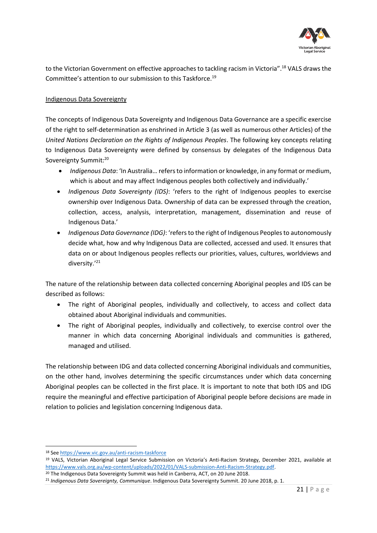

to the Victorian Government on effective approaches to tackling racism in Victoria".<sup>18</sup> VALS draws the Committee's attention to our submission to this Taskforce.<sup>19</sup>

## Indigenous Data Sovereignty

The concepts of Indigenous Data Sovereignty and Indigenous Data Governance are a specific exercise of the right to self-determination as enshrined in Article 3 (as well as numerous other Articles) of the *United Nations Declaration on the Rights of Indigenous Peoples*. The following key concepts relating to Indigenous Data Sovereignty were defined by consensus by delegates of the Indigenous Data Sovereignty Summit:<sup>20</sup>

- *Indigenous Data*: 'In Australia… refers to information or knowledge, in any format or medium, which is about and may affect Indigenous peoples both collectively and individually.'
- *Indigenous Data Sovereignty (IDS)*: 'refers to the right of Indigenous peoples to exercise ownership over Indigenous Data. Ownership of data can be expressed through the creation, collection, access, analysis, interpretation, management, dissemination and reuse of Indigenous Data.'
- *Indigenous Data Governance (IDG)*: 'refers to the right of Indigenous Peoples to autonomously decide what, how and why Indigenous Data are collected, accessed and used. It ensures that data on or about Indigenous peoples reflects our priorities, values, cultures, worldviews and diversity.'<sup>21</sup>

The nature of the relationship between data collected concerning Aboriginal peoples and IDS can be described as follows:

- The right of Aboriginal peoples, individually and collectively, to access and collect data obtained about Aboriginal individuals and communities.
- The right of Aboriginal peoples, individually and collectively, to exercise control over the manner in which data concerning Aboriginal individuals and communities is gathered, managed and utilised.

The relationship between IDG and data collected concerning Aboriginal individuals and communities, on the other hand, involves determining the specific circumstances under which data concerning Aboriginal peoples can be collected in the first place. It is important to note that both IDS and IDG require the meaningful and effective participation of Aboriginal people before decisions are made in relation to policies and legislation concerning Indigenous data.

<sup>18</sup> Se[e https://www.vic.gov.au/anti-racism-taskforce](https://www.vic.gov.au/anti-racism-taskforce)

<sup>19</sup> VALS, Victorian Aboriginal Legal Service Submission on Victoria's Anti-Racism Strategy, December 2021, available at [https://www.vals.org.au/wp-content/uploads/2022/01/VALS-submission-Anti-Racism-Strategy.pdf.](https://www.vals.org.au/wp-content/uploads/2022/01/VALS-submission-Anti-Racism-Strategy.pdf)

<sup>&</sup>lt;sup>20</sup> The Indigenous Data Sovereignty Summit was held in Canberra, ACT, on 20 June 2018.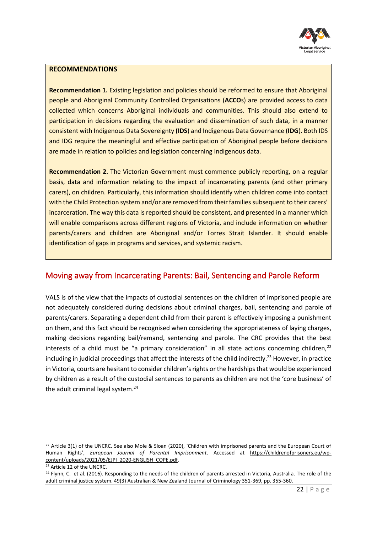

#### **RECOMMENDATIONS**

**Recommendation 1.** Existing legislation and policies should be reformed to ensure that Aboriginal people and Aboriginal Community Controlled Organisations (**ACCO**s) are provided access to data collected which concerns Aboriginal individuals and communities. This should also extend to participation in decisions regarding the evaluation and dissemination of such data, in a manner consistent with Indigenous Data Sovereignty **(IDS**) and Indigenous Data Governance (**IDG**). Both IDS and IDG require the meaningful and effective participation of Aboriginal people before decisions are made in relation to policies and legislation concerning Indigenous data.

**Recommendation 2.** The Victorian Government must commence publicly reporting, on a regular basis, data and information relating to the impact of incarcerating parents (and other primary carers), on children. Particularly, this information should identify when children come into contact with the Child Protection system and/or are removed from their families subsequent to their carers' incarceration. The way this data is reported should be consistent, and presented in a manner which will enable comparisons across different regions of Victoria, and include information on whether parents/carers and children are Aboriginal and/or Torres Strait Islander. It should enable identification of gaps in programs and services, and systemic racism.

## <span id="page-21-0"></span>Moving away from Incarcerating Parents: Bail, Sentencing and Parole Reform

VALS is of the view that the impacts of custodial sentences on the children of imprisoned people are not adequately considered during decisions about criminal charges, bail, sentencing and parole of parents/carers. Separating a dependent child from their parent is effectively imposing a punishment on them, and this fact should be recognised when considering the appropriateness of laying charges, making decisions regarding bail/remand, sentencing and parole. The CRC provides that the best interests of a child must be "a primary consideration" in all state actions concerning children, $2^2$ including in judicial proceedings that affect the interests of the child indirectly.<sup>23</sup> However, in practice in Victoria, courts are hesitant to consider children's rights or the hardships that would be experienced by children as a result of the custodial sentences to parents as children are not the 'core business' of the adult criminal legal system.<sup>24</sup>

<sup>&</sup>lt;sup>22</sup> Article 3(1) of the UNCRC. See also Mole & Sloan (2020), 'Children with imprisoned parents and the European Court of Human Rights', *European Journal of Parental Imprisonment*. Accessed at [https://childrenofprisoners.eu/wp](https://childrenofprisoners.eu/wp-content/uploads/2021/05/EJPI_2020-ENGLISH_COPE.pdf)[content/uploads/2021/05/EJPI\\_2020-ENGLISH\\_COPE.pdf.](https://childrenofprisoners.eu/wp-content/uploads/2021/05/EJPI_2020-ENGLISH_COPE.pdf)

<sup>23</sup> Article 12 of the UNCRC.

<sup>&</sup>lt;sup>24</sup> Flynn, C. et al. (2016). Responding to the needs of the children of parents arrested in Victoria, Australia. The role of the adult criminal justice system. 49(3) Australian & New Zealand Journal of Criminology 351-369, pp. 355-360.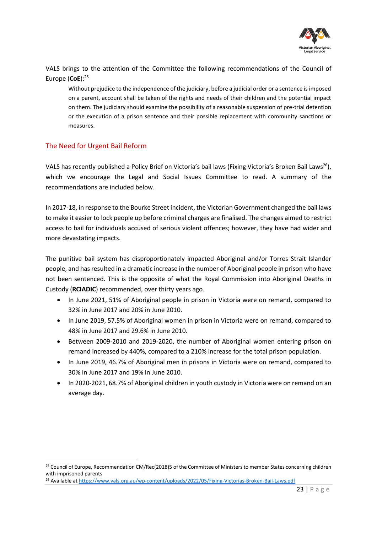

VALS brings to the attention of the Committee the following recommendations of the Council of Europe (**CoE**): 25

Without prejudice to the independence of the judiciary, before a judicial order or a sentence is imposed on a parent, account shall be taken of the rights and needs of their children and the potential impact on them. The judiciary should examine the possibility of a reasonable suspension of pre-trial detention or the execution of a prison sentence and their possible replacement with community sanctions or measures.

## <span id="page-22-0"></span>The Need for Urgent Bail Reform

VALS has recently published a Policy Brief on Victoria's bail laws (Fixing Victoria's Broken Bail Laws<sup>26</sup>), which we encourage the Legal and Social Issues Committee to read. A summary of the recommendations are included below.

In 2017-18, in response to the Bourke Street incident, the Victorian Government changed the bail laws to make it easier to lock people up before criminal charges are finalised. The changes aimed to restrict access to bail for individuals accused of serious violent offences; however, they have had wider and more devastating impacts.

The punitive bail system has disproportionately impacted Aboriginal and/or Torres Strait Islander people, and has resulted in a dramatic increase in the number of Aboriginal people in prison who have not been sentenced. This is the opposite of what the Royal Commission into Aboriginal Deaths in Custody (**RCIADIC**) recommended, over thirty years ago.

- In June 2021, 51% of Aboriginal people in prison in Victoria were on remand, compared to 32% in June 2017 and 20% in June 2010.
- In June 2019, 57.5% of Aboriginal women in prison in Victoria were on remand, compared to 48% in June 2017 and 29.6% in June 2010.
- Between 2009-2010 and 2019-2020, the number of Aboriginal women entering prison on remand increased by 440%, compared to a 210% increase for the total prison population.
- In June 2019, 46.7% of Aboriginal men in prisons in Victoria were on remand, compared to 30% in June 2017 and 19% in June 2010.
- In 2020-2021, 68.7% of Aboriginal children in youth custody in Victoria were on remand on an average day.

<sup>&</sup>lt;sup>25</sup> Council of Europe, Recommendation CM/Rec(2018)5 of the Committee of Ministers to member States concerning children with imprisoned parents

<sup>26</sup> Available at<https://www.vals.org.au/wp-content/uploads/2022/05/Fixing-Victorias-Broken-Bail-Laws.pdf>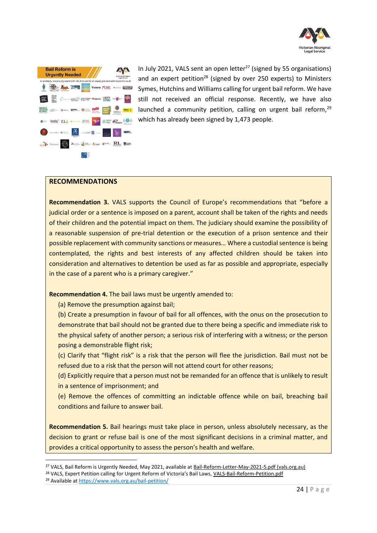



In July 2021, VALS sent an open letter $^{27}$  (signed by 55 organisations) and an expert petition<sup>28</sup> (signed by over 250 experts) to Ministers Symes, Hutchins and Williams calling for urgent bail reform. We have still not received an official response. Recently, we have also launched a community petition, calling on urgent bail reform, $29$ which has already been signed by 1,473 people.

#### **RECOMMENDATIONS**

**Recommendation 3.** VALS supports the Council of Europe's recommendations that "before a judicial order or a sentence is imposed on a parent, account shall be taken of the rights and needs of their children and the potential impact on them. The judiciary should examine the possibility of a reasonable suspension of pre-trial detention or the execution of a prison sentence and their possible replacement with community sanctions or measures… Where a custodial sentence is being contemplated, the rights and best interests of any affected children should be taken into consideration and alternatives to detention be used as far as possible and appropriate, especially in the case of a parent who is a primary caregiver."

**Recommendation 4.** The bail laws must be urgently amended to:

(a) Remove the presumption against bail;

(b) Create a presumption in favour of bail for all offences, with the onus on the prosecution to demonstrate that bail should not be granted due to there being a specific and immediate risk to the physical safety of another person; a serious risk of interfering with a witness; or the person posing a demonstrable flight risk;

(c) Clarify that "flight risk" is a risk that the person will flee the jurisdiction. Bail must not be refused due to a risk that the person will not attend court for other reasons;

(d) Explicitly require that a person must not be remanded for an offence that is unlikely to result in a sentence of imprisonment; and

(e) Remove the offences of committing an indictable offence while on bail, breaching bail conditions and failure to answer bail.

**Recommendation 5.** Bail hearings must take place in person, unless absolutely necessary, as the decision to grant or refuse bail is one of the most significant decisions in a criminal matter, and provides a critical opportunity to assess the person's health and welfare.

<sup>&</sup>lt;sup>27</sup> VALS, Bail Reform is Urgently Needed, May 2021, available at [Bail-Reform-Letter-May-2021-5.pdf \(vals.org.au\)](http://www.vals.org.au/wp-content/uploads/2021/06/Bail-Reform-Letter-May-2021-5.pdf)

<sup>&</sup>lt;sup>28</sup> VALS, Expert Petition calling for Urgent Reform of Victoria's Bail Laws, [VALS-Bail-Reform-Petition.pdf](http://www.vals.org.au/wp-content/uploads/2021/07/VALS-Bail-Reform-Petition.pdf)

<sup>29</sup> Available at<https://www.vals.org.au/bail-petition/>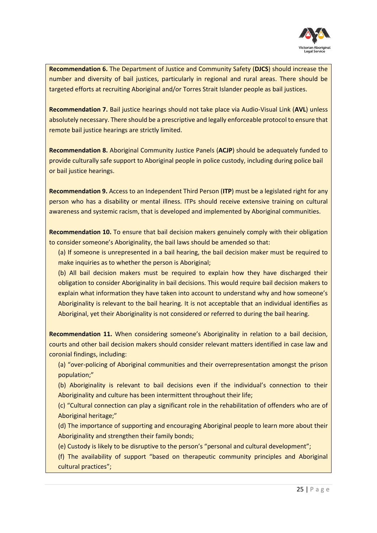

**Recommendation 6.** The Department of Justice and Community Safety (**DJCS**) should increase the number and diversity of bail justices, particularly in regional and rural areas. There should be targeted efforts at recruiting Aboriginal and/or Torres Strait Islander people as bail justices.

**Recommendation 7.** Bail justice hearings should not take place via Audio-Visual Link (**AVL**) unless absolutely necessary. There should be a prescriptive and legally enforceable protocol to ensure that remote bail justice hearings are strictly limited.

**Recommendation 8.** Aboriginal Community Justice Panels (**ACJP**) should be adequately funded to provide culturally safe support to Aboriginal people in police custody, including during police bail or bail justice hearings.

**Recommendation 9.** Access to an Independent Third Person (**ITP**) must be a legislated right for any person who has a disability or mental illness. ITPs should receive extensive training on cultural awareness and systemic racism, that is developed and implemented by Aboriginal communities.

**Recommendation 10.** To ensure that bail decision makers genuinely comply with their obligation to consider someone's Aboriginality, the bail laws should be amended so that:

(a) If someone is unrepresented in a bail hearing, the bail decision maker must be required to make inquiries as to whether the person is Aboriginal;

(b) All bail decision makers must be required to explain how they have discharged their obligation to consider Aboriginality in bail decisions. This would require bail decision makers to explain what information they have taken into account to understand why and how someone's Aboriginality is relevant to the bail hearing. It is not acceptable that an individual identifies as Aboriginal, yet their Aboriginality is not considered or referred to during the bail hearing.

**Recommendation 11.** When considering someone's Aboriginality in relation to a bail decision, courts and other bail decision makers should consider relevant matters identified in case law and coronial findings, including:

(a) "over-policing of Aboriginal communities and their overrepresentation amongst the prison population;"

(b) Aboriginality is relevant to bail decisions even if the individual's connection to their Aboriginality and culture has been intermittent throughout their life;

(c) "Cultural connection can play a significant role in the rehabilitation of offenders who are of Aboriginal heritage;"

(d) The importance of supporting and encouraging Aboriginal people to learn more about their Aboriginality and strengthen their family bonds;

(e) Custody is likely to be disruptive to the person's "personal and cultural development";

(f) The availability of support "based on therapeutic community principles and Aboriginal cultural practices";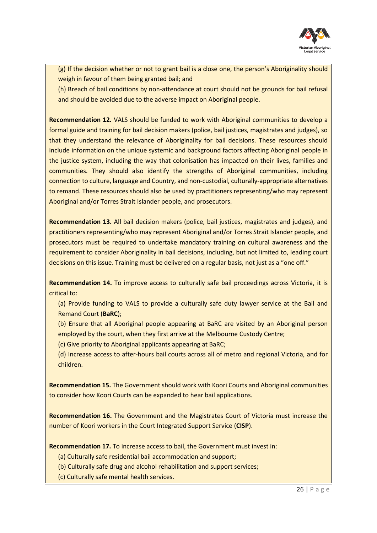

(g) If the decision whether or not to grant bail is a close one, the person's Aboriginality should weigh in favour of them being granted bail; and

(h) Breach of bail conditions by non-attendance at court should not be grounds for bail refusal and should be avoided due to the adverse impact on Aboriginal people.

**Recommendation 12.** VALS should be funded to work with Aboriginal communities to develop a formal guide and training for bail decision makers (police, bail justices, magistrates and judges), so that they understand the relevance of Aboriginality for bail decisions. These resources should include information on the unique systemic and background factors affecting Aboriginal people in the justice system, including the way that colonisation has impacted on their lives, families and communities. They should also identify the strengths of Aboriginal communities, including connection to culture, language and Country, and non-custodial, culturally-appropriate alternatives to remand. These resources should also be used by practitioners representing/who may represent Aboriginal and/or Torres Strait Islander people, and prosecutors.

**Recommendation 13.** All bail decision makers (police, bail justices, magistrates and judges), and practitioners representing/who may represent Aboriginal and/or Torres Strait Islander people, and prosecutors must be required to undertake mandatory training on cultural awareness and the requirement to consider Aboriginality in bail decisions, including, but not limited to, leading court decisions on this issue. Training must be delivered on a regular basis, not just as a "one off."

**Recommendation 14.** To improve access to culturally safe bail proceedings across Victoria, it is critical to:

- (a) Provide funding to VALS to provide a culturally safe duty lawyer service at the Bail and Remand Court (**BaRC**);
- (b) Ensure that all Aboriginal people appearing at BaRC are visited by an Aboriginal person employed by the court, when they first arrive at the Melbourne Custody Centre;
- (c) Give priority to Aboriginal applicants appearing at BaRC;
- (d) Increase access to after-hours bail courts across all of metro and regional Victoria, and for children.

**Recommendation 15.** The Government should work with Koori Courts and Aboriginal communities to consider how Koori Courts can be expanded to hear bail applications.

**Recommendation 16.** The Government and the Magistrates Court of Victoria must increase the number of Koori workers in the Court Integrated Support Service (**CISP**).

**Recommendation 17.** To increase access to bail, the Government must invest in:

- (a) Culturally safe residential bail accommodation and support;
- (b) Culturally safe drug and alcohol rehabilitation and support services;
- (c) Culturally safe mental health services.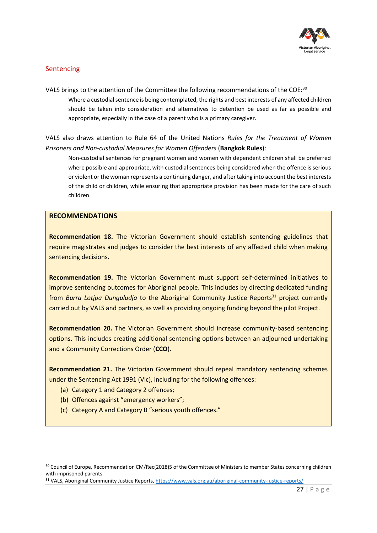

## <span id="page-26-0"></span>**Sentencing**

VALS brings to the attention of the Committee the following recommendations of the COE:<sup>30</sup> Where a custodial sentence is being contemplated, the rights and best interests of any affected children should be taken into consideration and alternatives to detention be used as far as possible and appropriate, especially in the case of a parent who is a primary caregiver.

VALS also draws attention to Rule 64 of the United Nations *Rules for the Treatment of Women Prisoners and Non-custodial Measures for Women Offenders* (**Bangkok Rules**):

Non-custodial sentences for pregnant women and women with dependent children shall be preferred where possible and appropriate, with custodial sentences being considered when the offence is serious or violent or the woman represents a continuing danger, and after taking into account the best interests of the child or children, while ensuring that appropriate provision has been made for the care of such children.

#### **RECOMMENDATIONS**

**Recommendation 18.** The Victorian Government should establish sentencing guidelines that require magistrates and judges to consider the best interests of any affected child when making sentencing decisions.

**Recommendation 19.** The Victorian Government must support self-determined initiatives to improve sentencing outcomes for Aboriginal people. This includes by directing dedicated funding from *Burra Lotipa Dunguludja* to the Aboriginal Community Justice Reports<sup>31</sup> project currently carried out by VALS and partners, as well as providing ongoing funding beyond the pilot Project.

**Recommendation 20.** The Victorian Government should increase community-based sentencing options. This includes creating additional sentencing options between an adjourned undertaking and a Community Corrections Order (**CCO**).

**Recommendation 21.** The Victorian Government should repeal mandatory sentencing schemes under the Sentencing Act 1991 (Vic), including for the following offences:

- (a) Category 1 and Category 2 offences;
- (b) Offences against "emergency workers";
- (c) Category A and Category B "serious youth offences."

<sup>30</sup> Council of Europe, Recommendation CM/Rec(2018)5 of the Committee of Ministers to member States concerning children with imprisoned parents

<sup>31</sup> VALS, Aboriginal Community Justice Reports,<https://www.vals.org.au/aboriginal-community-justice-reports/>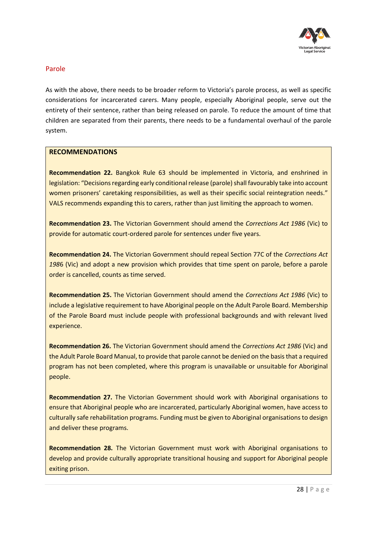

## <span id="page-27-0"></span>Parole

As with the above, there needs to be broader reform to Victoria's parole process, as well as specific considerations for incarcerated carers. Many people, especially Aboriginal people, serve out the entirety of their sentence, rather than being released on parole. To reduce the amount of time that children are separated from their parents, there needs to be a fundamental overhaul of the parole system.

### **RECOMMENDATIONS**

**Recommendation 22.** Bangkok Rule 63 should be implemented in Victoria, and enshrined in legislation: "Decisions regarding early conditional release (parole) shall favourably take into account women prisoners' caretaking responsibilities, as well as their specific social reintegration needs." VALS recommends expanding this to carers, rather than just limiting the approach to women.

**Recommendation 23.** The Victorian Government should amend the *Corrections Act 1986* (Vic) to provide for automatic court-ordered parole for sentences under five years.

**Recommendation 24.** The Victorian Government should repeal Section 77C of the *Corrections Act 198*6 (Vic) and adopt a new provision which provides that time spent on parole, before a parole order is cancelled, counts as time served.

**Recommendation 25.** The Victorian Government should amend the *Corrections Act 1986* (Vic) to include a legislative requirement to have Aboriginal people on the Adult Parole Board. Membership of the Parole Board must include people with professional backgrounds and with relevant lived experience.

**Recommendation 26.** The Victorian Government should amend the *Corrections Act 1986* (Vic) and the Adult Parole Board Manual, to provide that parole cannot be denied on the basis that a required program has not been completed, where this program is unavailable or unsuitable for Aboriginal people.

**Recommendation 27.** The Victorian Government should work with Aboriginal organisations to ensure that Aboriginal people who are incarcerated, particularly Aboriginal women, have access to culturally safe rehabilitation programs. Funding must be given to Aboriginal organisations to design and deliver these programs.

**Recommendation 28.** The Victorian Government must work with Aboriginal organisations to develop and provide culturally appropriate transitional housing and support for Aboriginal people exiting prison.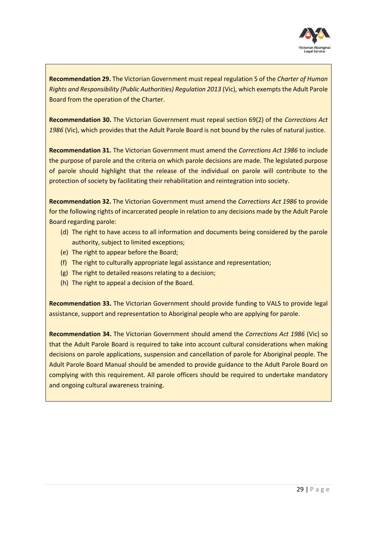

**Recommendation 29.** The Victorian Government must repeal regulation 5 of the *Charter of Human Rights and Responsibility (Public Authorities) Regulation 2013* (Vic), which exempts the Adult Parole Board from the operation of the Charter.

**Recommendation 30.** The Victorian Government must repeal section 69(2) of the *Corrections Act 1986* (Vic), which provides that the Adult Parole Board is not bound by the rules of natural justice.

**Recommendation 31.** The Victorian Government must amend the *Corrections Act 1986* to include the purpose of parole and the criteria on which parole decisions are made. The legislated purpose of parole should highlight that the release of the individual on parole will contribute to the protection of society by facilitating their rehabilitation and reintegration into society.

**Recommendation 32.** The Victorian Government must amend the *Corrections Act 1986* to provide for the following rights of incarcerated people in relation to any decisions made by the Adult Parole Board regarding parole:

- (d) The right to have access to all information and documents being considered by the parole authority, subject to limited exceptions;
- (e) The right to appear before the Board;
- (f) The right to culturally appropriate legal assistance and representation;
- (g) The right to detailed reasons relating to a decision;
- (h) The right to appeal a decision of the Board.

**Recommendation 33.** The Victorian Government should provide funding to VALS to provide legal assistance, support and representation to Aboriginal people who are applying for parole.

**Recommendation 34.** The Victorian Government should amend the *Corrections Act 1986* (Vic) so that the Adult Parole Board is required to take into account cultural considerations when making decisions on parole applications, suspension and cancellation of parole for Aboriginal people. The Adult Parole Board Manual should be amended to provide guidance to the Adult Parole Board on complying with this requirement. All parole officers should be required to undertake mandatory and ongoing cultural awareness training.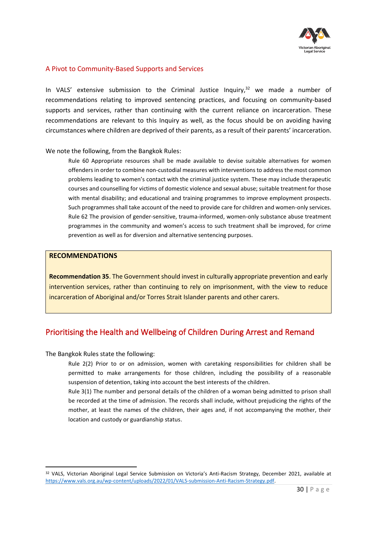

### <span id="page-29-0"></span>A Pivot to Community-Based Supports and Services

In VALS' extensive submission to the Criminal Justice Inquiry, $32$  we made a number of recommendations relating to improved sentencing practices, and focusing on community-based supports and services, rather than continuing with the current reliance on incarceration. These recommendations are relevant to this Inquiry as well, as the focus should be on avoiding having circumstances where children are deprived of their parents, as a result of their parents' incarceration.

We note the following, from the Bangkok Rules:

Rule 60 Appropriate resources shall be made available to devise suitable alternatives for women offenders in order to combine non-custodial measures with interventions to address the most common problems leading to women's contact with the criminal justice system. These may include therapeutic courses and counselling for victims of domestic violence and sexual abuse; suitable treatment for those with mental disability; and educational and training programmes to improve employment prospects. Such programmes shall take account of the need to provide care for children and women-only services. Rule 62 The provision of gender-sensitive, trauma-informed, women-only substance abuse treatment programmes in the community and women's access to such treatment shall be improved, for crime prevention as well as for diversion and alternative sentencing purposes.

#### **RECOMMENDATIONS**

**Recommendation 35**. The Government should invest in culturally appropriate prevention and early intervention services, rather than continuing to rely on imprisonment, with the view to reduce incarceration of Aboriginal and/or Torres Strait Islander parents and other carers.

## <span id="page-29-1"></span>Prioritising the Health and Wellbeing of Children During Arrest and Remand

The Bangkok Rules state the following:

Rule 2(2) Prior to or on admission, women with caretaking responsibilities for children shall be permitted to make arrangements for those children, including the possibility of a reasonable suspension of detention, taking into account the best interests of the children.

Rule 3(1) The number and personal details of the children of a woman being admitted to prison shall be recorded at the time of admission. The records shall include, without prejudicing the rights of the mother, at least the names of the children, their ages and, if not accompanying the mother, their location and custody or guardianship status.

<sup>&</sup>lt;sup>32</sup> VALS, Victorian Aboriginal Legal Service Submission on Victoria's Anti-Racism Strategy, December 2021, available at [https://www.vals.org.au/wp-content/uploads/2022/01/VALS-submission-Anti-Racism-Strategy.pdf.](https://www.vals.org.au/wp-content/uploads/2022/01/VALS-submission-Anti-Racism-Strategy.pdf)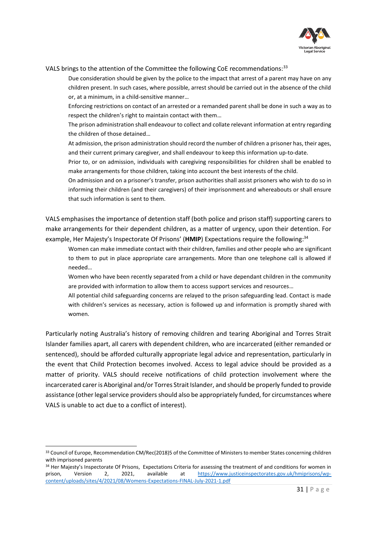

#### VALS brings to the attention of the Committee the following CoE recommendations:<sup>33</sup>

Due consideration should be given by the police to the impact that arrest of a parent may have on any children present. In such cases, where possible, arrest should be carried out in the absence of the child or, at a minimum, in a child-sensitive manner…

Enforcing restrictions on contact of an arrested or a remanded parent shall be done in such a way as to respect the children's right to maintain contact with them…

The prison administration shall endeavour to collect and collate relevant information at entry regarding the children of those detained…

At admission, the prison administration should record the number of children a prisoner has, their ages, and their current primary caregiver, and shall endeavour to keep this information up-to-date.

Prior to, or on admission, individuals with caregiving responsibilities for children shall be enabled to make arrangements for those children, taking into account the best interests of the child.

On admission and on a prisoner's transfer, prison authorities shall assist prisoners who wish to do so in informing their children (and their caregivers) of their imprisonment and whereabouts or shall ensure that such information is sent to them.

VALS emphasises the importance of detention staff (both police and prison staff) supporting carers to make arrangements for their dependent children, as a matter of urgency, upon their detention. For example, Her Majesty's Inspectorate Of Prisons' (**HMIP**) Expectations require the following: 34

Women can make immediate contact with their children, families and other people who are significant to them to put in place appropriate care arrangements. More than one telephone call is allowed if needed…

Women who have been recently separated from a child or have dependant children in the community are provided with information to allow them to access support services and resources…

All potential child safeguarding concerns are relayed to the prison safeguarding lead. Contact is made with children's services as necessary, action is followed up and information is promptly shared with women.

Particularly noting Australia's history of removing children and tearing Aboriginal and Torres Strait Islander families apart, all carers with dependent children, who are incarcerated (either remanded or sentenced), should be afforded culturally appropriate legal advice and representation, particularly in the event that Child Protection becomes involved. Access to legal advice should be provided as a matter of priority. VALS should receive notifications of child protection involvement where the incarcerated carer is Aboriginal and/or Torres Strait Islander, and should be properly funded to provide assistance (other legal service providers should also be appropriately funded, for circumstances where VALS is unable to act due to a conflict of interest).

<sup>33</sup> Council of Europe, Recommendation CM/Rec(2018)5 of the Committee of Ministers to member States concerning children with imprisoned parents

<sup>34</sup> Her Majesty's Inspectorate Of Prisons, Expectations Criteria for assessing the treatment of and conditions for women in prison, Version 2, 2021, available at [https://www.justiceinspectorates.gov.uk/hmiprisons/wp](https://www.justiceinspectorates.gov.uk/hmiprisons/wp-content/uploads/sites/4/2021/08/Womens-Expectations-FINAL-July-2021-1.pdf)[content/uploads/sites/4/2021/08/Womens-Expectations-FINAL-July-2021-1.pdf](https://www.justiceinspectorates.gov.uk/hmiprisons/wp-content/uploads/sites/4/2021/08/Womens-Expectations-FINAL-July-2021-1.pdf)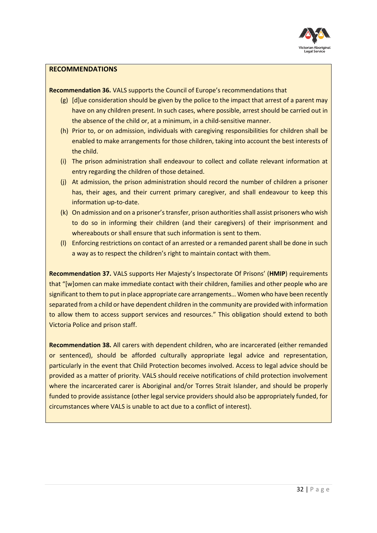

#### **RECOMMENDATIONS**

**Recommendation 36.** VALS supports the Council of Europe's recommendations that

- (g) [d]ue consideration should be given by the police to the impact that arrest of a parent may have on any children present. In such cases, where possible, arrest should be carried out in the absence of the child or, at a minimum, in a child-sensitive manner.
- (h) Prior to, or on admission, individuals with caregiving responsibilities for children shall be enabled to make arrangements for those children, taking into account the best interests of the child.
- (i) The prison administration shall endeavour to collect and collate relevant information at entry regarding the children of those detained.
- (j) At admission, the prison administration should record the number of children a prisoner has, their ages, and their current primary caregiver, and shall endeavour to keep this information up-to-date.
- (k) On admission and on a prisoner's transfer, prison authorities shall assist prisoners who wish to do so in informing their children (and their caregivers) of their imprisonment and whereabouts or shall ensure that such information is sent to them.
- (l) Enforcing restrictions on contact of an arrested or a remanded parent shall be done in such a way as to respect the children's right to maintain contact with them.

**Recommendation 37.** VALS supports Her Majesty's Inspectorate Of Prisons' (**HMIP**) requirements that "[w]omen can make immediate contact with their children, families and other people who are significant to them to put in place appropriate care arrangements… Women who have been recently separated from a child or have dependent children in the community are provided with information to allow them to access support services and resources." This obligation should extend to both Victoria Police and prison staff.

**Recommendation 38.** All carers with dependent children, who are incarcerated (either remanded or sentenced), should be afforded culturally appropriate legal advice and representation, particularly in the event that Child Protection becomes involved. Access to legal advice should be provided as a matter of priority. VALS should receive notifications of child protection involvement where the incarcerated carer is Aboriginal and/or Torres Strait Islander, and should be properly funded to provide assistance (other legal service providers should also be appropriately funded, for circumstances where VALS is unable to act due to a conflict of interest).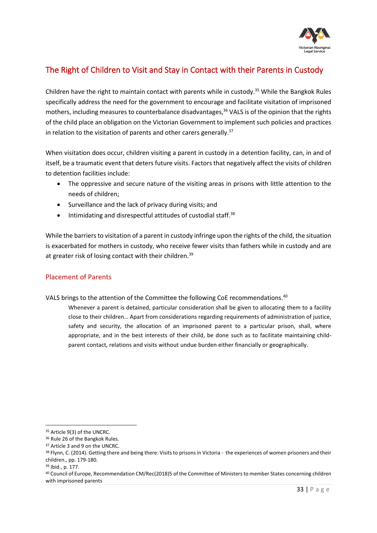

## <span id="page-32-0"></span>The Right of Children to Visit and Stay in Contact with their Parents in Custody

Children have the right to maintain contact with parents while in custody. <sup>35</sup> While the Bangkok Rules specifically address the need for the government to encourage and facilitate visitation of imprisoned mothers, including measures to counterbalance disadvantages,<sup>36</sup> VALS is of the opinion that the rights of the child place an obligation on the Victorian Government to implement such policies and practices in relation to the visitation of parents and other carers generally.<sup>37</sup>

When visitation does occur, children visiting a parent in custody in a detention facility, can, in and of itself, be a traumatic event that deters future visits. Factors that negatively affect the visits of children to detention facilities include:

- The oppressive and secure nature of the visiting areas in prisons with little attention to the needs of children;
- Surveillance and the lack of privacy during visits; and
- $\bullet$  Intimidating and disrespectful attitudes of custodial staff.<sup>38</sup>

While the barriers to visitation of a parent in custody infringe upon the rights of the child, the situation is exacerbated for mothers in custody, who receive fewer visits than fathers while in custody and are at greater risk of losing contact with their children.<sup>39</sup>

## <span id="page-32-1"></span>Placement of Parents

## VALS brings to the attention of the Committee the following CoE recommendations.<sup>40</sup>

Whenever a parent is detained, particular consideration shall be given to allocating them to a facility close to their children… Apart from considerations regarding requirements of administration of justice, safety and security, the allocation of an imprisoned parent to a particular prison, shall, where appropriate, and in the best interests of their child, be done such as to facilitate maintaining childparent contact, relations and visits without undue burden either financially or geographically.

<sup>35</sup> Article 9(3) of the UNCRC.

<sup>&</sup>lt;sup>36</sup> Rule 26 of the Bangkok Rules.

<sup>37</sup> Article 3 and 9 on the UNCRC.

<sup>38</sup> Flynn, C. (2014). Getting there and being there: Visits to prisons in Victoria - the experiences of women prisoners and their children., pp. 179-180.

<sup>39</sup> Ibid., p. 177.

<sup>40</sup> Council of Europe, Recommendation CM/Rec(2018)5 of the Committee of Ministers to member States concerning children with imprisoned parents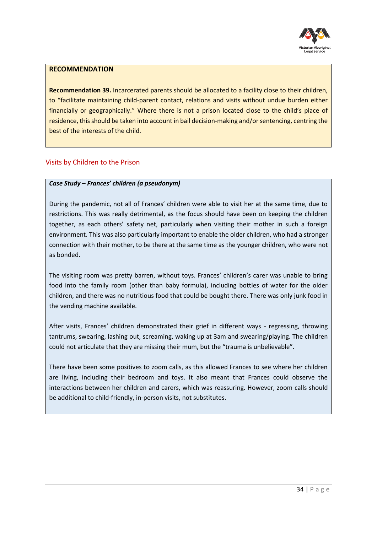

#### **RECOMMENDATION**

**Recommendation 39.** Incarcerated parents should be allocated to a facility close to their children, to "facilitate maintaining child-parent contact, relations and visits without undue burden either financially or geographically." Where there is not a prison located close to the child's place of residence, this should be taken into account in bail decision-making and/or sentencing, centring the best of the interests of the child.

## <span id="page-33-0"></span>Visits by Children to the Prison

### *Case Study – Frances' children (a pseudonym)*

During the pandemic, not all of Frances' children were able to visit her at the same time, due to restrictions. This was really detrimental, as the focus should have been on keeping the children together, as each others' safety net, particularly when visiting their mother in such a foreign environment. This was also particularly important to enable the older children, who had a stronger connection with their mother, to be there at the same time as the younger children, who were not as bonded.

The visiting room was pretty barren, without toys. Frances' children's carer was unable to bring food into the family room (other than baby formula), including bottles of water for the older children, and there was no nutritious food that could be bought there. There was only junk food in the vending machine available.

After visits, Frances' children demonstrated their grief in different ways - regressing, throwing tantrums, swearing, lashing out, screaming, waking up at 3am and swearing/playing. The children could not articulate that they are missing their mum, but the "trauma is unbelievable".

There have been some positives to zoom calls, as this allowed Frances to see where her children are living, including their bedroom and toys. It also meant that Frances could observe the interactions between her children and carers, which was reassuring. However, zoom calls should be additional to child-friendly, in-person visits, not substitutes.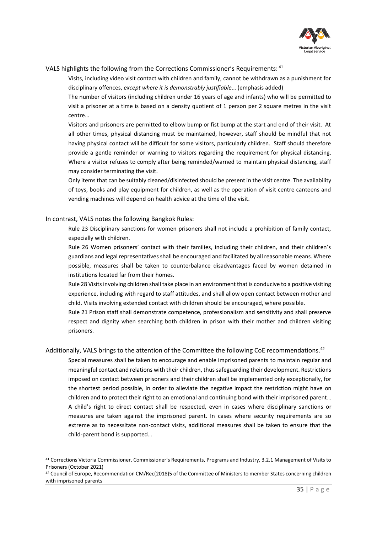

#### VALS highlights the following from the Corrections Commissioner's Requirements: <sup>41</sup>

Visits, including video visit contact with children and family, cannot be withdrawn as a punishment for disciplinary offences, *except where it is demonstrably justifiable*… (emphasis added)

The number of visitors (including children under 16 years of age and infants) who will be permitted to visit a prisoner at a time is based on a density quotient of 1 person per 2 square metres in the visit centre…

Visitors and prisoners are permitted to elbow bump or fist bump at the start and end of their visit. At all other times, physical distancing must be maintained, however, staff should be mindful that not having physical contact will be difficult for some visitors, particularly children. Staff should therefore provide a gentle reminder or warning to visitors regarding the requirement for physical distancing. Where a visitor refuses to comply after being reminded/warned to maintain physical distancing, staff may consider terminating the visit.

Only items that can be suitably cleaned/disinfected should be present in the visit centre. The availability of toys, books and play equipment for children, as well as the operation of visit centre canteens and vending machines will depend on health advice at the time of the visit.

#### In contrast, VALS notes the following Bangkok Rules:

Rule 23 Disciplinary sanctions for women prisoners shall not include a prohibition of family contact, especially with children.

Rule 26 Women prisoners' contact with their families, including their children, and their children's guardians and legal representatives shall be encouraged and facilitated by all reasonable means. Where possible, measures shall be taken to counterbalance disadvantages faced by women detained in institutions located far from their homes.

Rule 28 Visits involving children shall take place in an environment that is conducive to a positive visiting experience, including with regard to staff attitudes, and shall allow open contact between mother and child. Visits involving extended contact with children should be encouraged, where possible.

Rule 21 Prison staff shall demonstrate competence, professionalism and sensitivity and shall preserve respect and dignity when searching both children in prison with their mother and children visiting prisoners.

#### Additionally, VALS brings to the attention of the Committee the following CoE recommendations.<sup>42</sup>

Special measures shall be taken to encourage and enable imprisoned parents to maintain regular and meaningful contact and relations with their children, thus safeguarding their development. Restrictions imposed on contact between prisoners and their children shall be implemented only exceptionally, for the shortest period possible, in order to alleviate the negative impact the restriction might have on children and to protect their right to an emotional and continuing bond with their imprisoned parent… A child's right to direct contact shall be respected, even in cases where disciplinary sanctions or measures are taken against the imprisoned parent. In cases where security requirements are so extreme as to necessitate non-contact visits, additional measures shall be taken to ensure that the child-parent bond is supported…

<sup>41</sup> Corrections Victoria Commissioner, Commissioner's Requirements, Programs and Industry, 3.2.1 Management of Visits to Prisoners (October 2021)

<sup>42</sup> Council of Europe, Recommendation CM/Rec(2018)5 of the Committee of Ministers to member States concerning children with imprisoned parents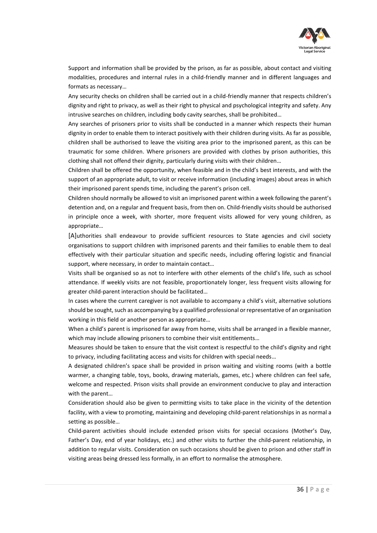

Support and information shall be provided by the prison, as far as possible, about contact and visiting modalities, procedures and internal rules in a child-friendly manner and in different languages and formats as necessary…

Any security checks on children shall be carried out in a child-friendly manner that respects children's dignity and right to privacy, as well as their right to physical and psychological integrity and safety. Any intrusive searches on children, including body cavity searches, shall be prohibited…

Any searches of prisoners prior to visits shall be conducted in a manner which respects their human dignity in order to enable them to interact positively with their children during visits. As far as possible, children shall be authorised to leave the visiting area prior to the imprisoned parent, as this can be traumatic for some children. Where prisoners are provided with clothes by prison authorities, this clothing shall not offend their dignity, particularly during visits with their children…

Children shall be offered the opportunity, when feasible and in the child's best interests, and with the support of an appropriate adult, to visit or receive information (including images) about areas in which their imprisoned parent spends time, including the parent's prison cell.

Children should normally be allowed to visit an imprisoned parent within a week following the parent's detention and, on a regular and frequent basis, from then on. Child-friendly visits should be authorised in principle once a week, with shorter, more frequent visits allowed for very young children, as appropriate…

[A]uthorities shall endeavour to provide sufficient resources to State agencies and civil society organisations to support children with imprisoned parents and their families to enable them to deal effectively with their particular situation and specific needs, including offering logistic and financial support, where necessary, in order to maintain contact…

Visits shall be organised so as not to interfere with other elements of the child's life, such as school attendance. If weekly visits are not feasible, proportionately longer, less frequent visits allowing for greater child-parent interaction should be facilitated…

In cases where the current caregiver is not available to accompany a child's visit, alternative solutions should be sought, such as accompanying by a qualified professional or representative of an organisation working in this field or another person as appropriate…

When a child's parent is imprisoned far away from home, visits shall be arranged in a flexible manner, which may include allowing prisoners to combine their visit entitlements...

Measures should be taken to ensure that the visit context is respectful to the child's dignity and right to privacy, including facilitating access and visits for children with special needs…

A designated children's space shall be provided in prison waiting and visiting rooms (with a bottle warmer, a changing table, toys, books, drawing materials, games, etc.) where children can feel safe, welcome and respected. Prison visits shall provide an environment conducive to play and interaction with the parent…

Consideration should also be given to permitting visits to take place in the vicinity of the detention facility, with a view to promoting, maintaining and developing child-parent relationships in as normal a setting as possible…

Child-parent activities should include extended prison visits for special occasions (Mother's Day, Father's Day, end of year holidays, etc.) and other visits to further the child-parent relationship, in addition to regular visits. Consideration on such occasions should be given to prison and other staff in visiting areas being dressed less formally, in an effort to normalise the atmosphere.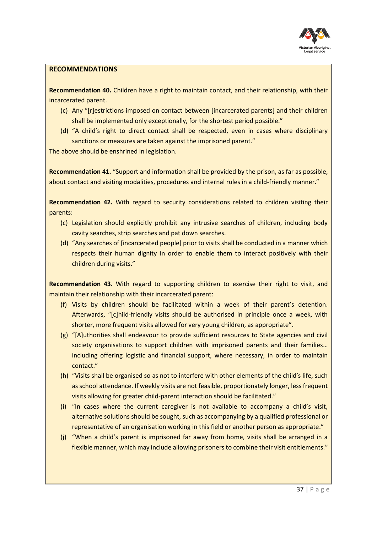

#### **RECOMMENDATIONS**

**Recommendation 40.** Children have a right to maintain contact, and their relationship, with their incarcerated parent.

- (c) Any "[r]estrictions imposed on contact between [incarcerated parents] and their children shall be implemented only exceptionally, for the shortest period possible."
- (d) "A child's right to direct contact shall be respected, even in cases where disciplinary sanctions or measures are taken against the imprisoned parent."

The above should be enshrined in legislation.

**Recommendation 41.** "Support and information shall be provided by the prison, as far as possible, about contact and visiting modalities, procedures and internal rules in a child-friendly manner."

**Recommendation 42.** With regard to security considerations related to children visiting their parents:

- (c) Legislation should explicitly prohibit any intrusive searches of children, including body cavity searches, strip searches and pat down searches.
- (d) "Any searches of [incarcerated people] prior to visits shall be conducted in a manner which respects their human dignity in order to enable them to interact positively with their children during visits."

**Recommendation 43.** With regard to supporting children to exercise their right to visit, and maintain their relationship with their incarcerated parent:

- (f) Visits by children should be facilitated within a week of their parent's detention. Afterwards, "[c]hild-friendly visits should be authorised in principle once a week, with shorter, more frequent visits allowed for very young children, as appropriate".
- (g) "[A]uthorities shall endeavour to provide sufficient resources to State agencies and civil society organisations to support children with imprisoned parents and their families... including offering logistic and financial support, where necessary, in order to maintain contact."
- (h) "Visits shall be organised so as not to interfere with other elements of the child's life, such as school attendance. If weekly visits are not feasible, proportionately longer, less frequent visits allowing for greater child-parent interaction should be facilitated."
- (i) "In cases where the current caregiver is not available to accompany a child's visit, alternative solutions should be sought, such as accompanying by a qualified professional or representative of an organisation working in this field or another person as appropriate."
- (j) "When a child's parent is imprisoned far away from home, visits shall be arranged in a flexible manner, which may include allowing prisoners to combine their visit entitlements."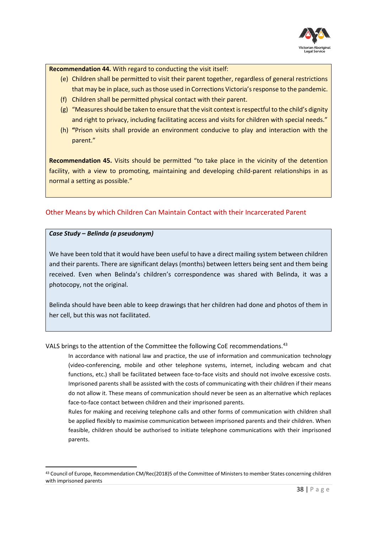

**Recommendation 44.** With regard to conducting the visit itself:

- (e) Children shall be permitted to visit their parent together, regardless of general restrictions that may be in place, such as those used in Corrections Victoria's response to the pandemic.
- (f) Children shall be permitted physical contact with their parent.
- (g) "Measures should be taken to ensure that the visit context is respectful to the child's dignity and right to privacy, including facilitating access and visits for children with special needs."
- (h) **"**Prison visits shall provide an environment conducive to play and interaction with the parent."

**Recommendation 45.** Visits should be permitted "to take place in the vicinity of the detention facility, with a view to promoting, maintaining and developing child-parent relationships in as normal a setting as possible."

## <span id="page-37-0"></span>Other Means by which Children Can Maintain Contact with their Incarcerated Parent

#### *Case Study – Belinda (a pseudonym)*

We have been told that it would have been useful to have a direct mailing system between children and their parents. There are significant delays (months) between letters being sent and them being received. Even when Belinda's children's correspondence was shared with Belinda, it was a photocopy, not the original.

Belinda should have been able to keep drawings that her children had done and photos of them in her cell, but this was not facilitated.

#### VALS brings to the attention of the Committee the following CoE recommendations.<sup>43</sup>

In accordance with national law and practice, the use of information and communication technology (video-conferencing, mobile and other telephone systems, internet, including webcam and chat functions, etc.) shall be facilitated between face-to-face visits and should not involve excessive costs. Imprisoned parents shall be assisted with the costs of communicating with their children if their means do not allow it. These means of communication should never be seen as an alternative which replaces face-to-face contact between children and their imprisoned parents.

Rules for making and receiving telephone calls and other forms of communication with children shall be applied flexibly to maximise communication between imprisoned parents and their children. When feasible, children should be authorised to initiate telephone communications with their imprisoned parents.

<sup>43</sup> Council of Europe, Recommendation CM/Rec(2018)5 of the Committee of Ministers to member States concerning children with imprisoned parents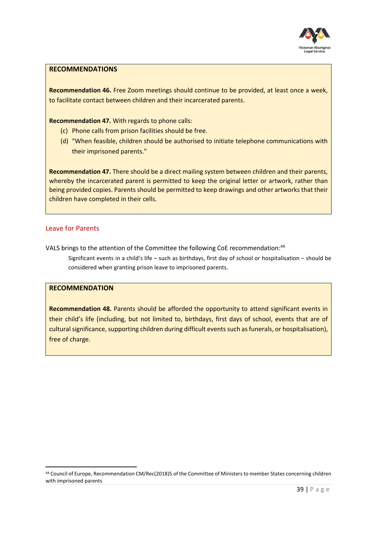

#### **RECOMMENDATIONS**

**Recommendation 46.** Free Zoom meetings should continue to be provided, at least once a week, to facilitate contact between children and their incarcerated parents.

**Recommendation 47.** With regards to phone calls:

- (c) Phone calls from prison facilities should be free.
- (d) "When feasible, children should be authorised to initiate telephone communications with their imprisoned parents."

**Recommendation 47.** There should be a direct mailing system between children and their parents, whereby the incarcerated parent is permitted to keep the original letter or artwork, rather than being provided copies. Parents should be permitted to keep drawings and other artworks that their children have completed in their cells.

## <span id="page-38-0"></span>Leave for Parents

VALS brings to the attention of the Committee the following CoE recommendation:<sup>44</sup>

Significant events in a child's life – such as birthdays, first day of school or hospitalisation – should be considered when granting prison leave to imprisoned parents.

## **RECOMMENDATION**

**Recommendation 48.** Parents should be afforded the opportunity to attend significant events in their child's life (including, but not limited to, birthdays, first days of school, events that are of cultural significance, supporting children during difficult events such as funerals, or hospitalisation), free of charge.

<sup>44</sup> Council of Europe, Recommendation CM/Rec(2018)5 of the Committee of Ministers to member States concerning children with imprisoned parents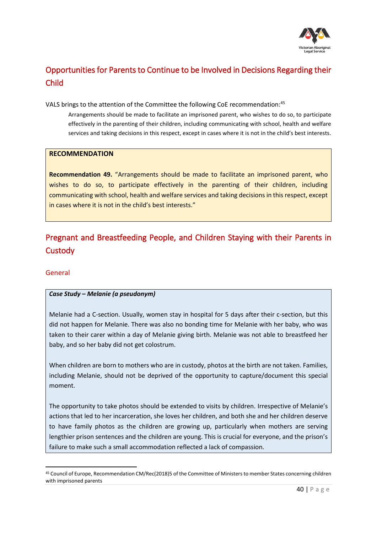

# <span id="page-39-0"></span>Opportunities for Parents to Continue to be Involved in Decisions Regarding their Child

VALS brings to the attention of the Committee the following CoE recommendation:<sup>45</sup>

Arrangements should be made to facilitate an imprisoned parent, who wishes to do so, to participate effectively in the parenting of their children, including communicating with school, health and welfare services and taking decisions in this respect, except in cases where it is not in the child's best interests.

### **RECOMMENDATION**

**Recommendation 49.** "Arrangements should be made to facilitate an imprisoned parent, who wishes to do so, to participate effectively in the parenting of their children, including communicating with school, health and welfare services and taking decisions in this respect, except in cases where it is not in the child's best interests."

# <span id="page-39-1"></span>Pregnant and Breastfeeding People, and Children Staying with their Parents in **Custody**

## <span id="page-39-2"></span>General

## *Case Study – Melanie (a pseudonym)*

Melanie had a C-section. Usually, women stay in hospital for 5 days after their c-section, but this did not happen for Melanie. There was also no bonding time for Melanie with her baby, who was taken to their carer within a day of Melanie giving birth. Melanie was not able to breastfeed her baby, and so her baby did not get colostrum.

When children are born to mothers who are in custody, photos at the birth are not taken. Families, including Melanie, should not be deprived of the opportunity to capture/document this special moment.

The opportunity to take photos should be extended to visits by children. Irrespective of Melanie's actions that led to her incarceration, she loves her children, and both she and her children deserve to have family photos as the children are growing up, particularly when mothers are serving lengthier prison sentences and the children are young. This is crucial for everyone, and the prison's failure to make such a small accommodation reflected a lack of compassion.

<sup>45</sup> Council of Europe, Recommendation CM/Rec(2018)5 of the Committee of Ministers to member States concerning children with imprisoned parents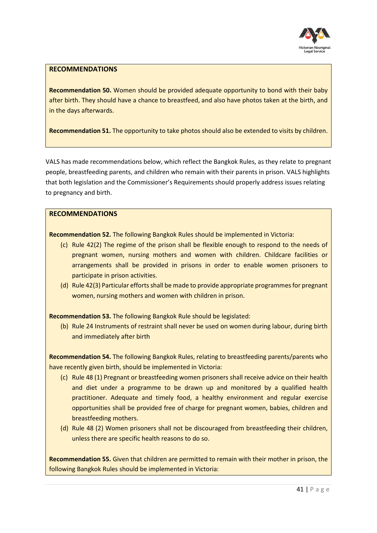

#### **RECOMMENDATIONS**

**Recommendation 50.** Women should be provided adequate opportunity to bond with their baby after birth. They should have a chance to breastfeed, and also have photos taken at the birth, and in the days afterwards.

**Recommendation 51.** The opportunity to take photos should also be extended to visits by children.

VALS has made recommendations below, which reflect the Bangkok Rules, as they relate to pregnant people, breastfeeding parents, and children who remain with their parents in prison. VALS highlights that both legislation and the Commissioner's Requirements should properly address issues relating to pregnancy and birth.

#### **RECOMMENDATIONS**

**Recommendation 52.** The following Bangkok Rules should be implemented in Victoria:

- (c) Rule 42(2) The regime of the prison shall be flexible enough to respond to the needs of pregnant women, nursing mothers and women with children. Childcare facilities or arrangements shall be provided in prisons in order to enable women prisoners to participate in prison activities.
- (d) Rule 42(3) Particular efforts shall be made to provide appropriate programmes for pregnant women, nursing mothers and women with children in prison.

**Recommendation 53.** The following Bangkok Rule should be legislated:

(b) Rule 24 Instruments of restraint shall never be used on women during labour, during birth and immediately after birth

**Recommendation 54.** The following Bangkok Rules, relating to breastfeeding parents/parents who have recently given birth, should be implemented in Victoria:

- (c) Rule 48 (1) Pregnant or breastfeeding women prisoners shall receive advice on their health and diet under a programme to be drawn up and monitored by a qualified health practitioner. Adequate and timely food, a healthy environment and regular exercise opportunities shall be provided free of charge for pregnant women, babies, children and breastfeeding mothers.
- (d) Rule 48 (2) Women prisoners shall not be discouraged from breastfeeding their children, unless there are specific health reasons to do so.

**Recommendation 55.** Given that children are permitted to remain with their mother in prison, the following Bangkok Rules should be implemented in Victoria: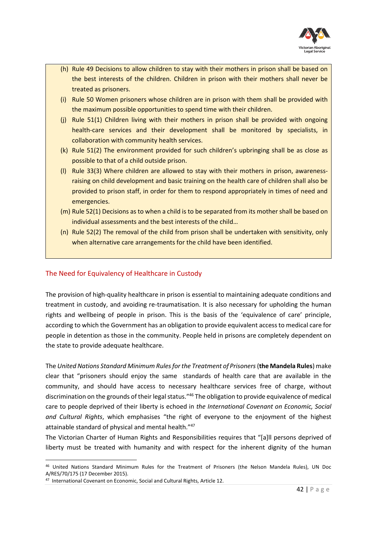

- (h) Rule 49 Decisions to allow children to stay with their mothers in prison shall be based on the best interests of the children. Children in prison with their mothers shall never be treated as prisoners.
- (i) Rule 50 Women prisoners whose children are in prison with them shall be provided with the maximum possible opportunities to spend time with their children.
- (j) Rule 51(1) Children living with their mothers in prison shall be provided with ongoing health-care services and their development shall be monitored by specialists, in collaboration with community health services.
- (k) Rule 51(2) The environment provided for such children's upbringing shall be as close as possible to that of a child outside prison.
- (l) Rule 33(3) Where children are allowed to stay with their mothers in prison, awarenessraising on child development and basic training on the health care of children shall also be provided to prison staff, in order for them to respond appropriately in times of need and emergencies.
- (m) Rule 52(1) Decisions as to when a child is to be separated from its mother shall be based on individual assessments and the best interests of the child…
- (n) Rule 52(2) The removal of the child from prison shall be undertaken with sensitivity, only when alternative care arrangements for the child have been identified.

## <span id="page-41-0"></span>The Need for Equivalency of Healthcare in Custody

The provision of high-quality healthcare in prison is essential to maintaining adequate conditions and treatment in custody, and avoiding re-traumatisation. It is also necessary for upholding the human rights and wellbeing of people in prison. This is the basis of the 'equivalence of care' principle, according to which the Government has an obligation to provide equivalent access to medical care for people in detention as those in the community. People held in prisons are completely dependent on the state to provide adequate healthcare.

The *United Nations Standard Minimum Rules for the Treatment of Prisoners*(**the Mandela Rules**) make clear that "prisoners should enjoy the same standards of health care that are available in the community, and should have access to necessary healthcare services free of charge, without discrimination on the grounds of their legal status."<sup>46</sup> The obligation to provide equivalence of medical care to people deprived of their liberty is echoed in *the International Covenant on Economic, Social and Cultural Rights*, which emphasises "the right of everyone to the enjoyment of the highest attainable standard of physical and mental health." 47

The Victorian Charter of Human Rights and Responsibilities requires that "[a]ll persons deprived of liberty must be treated with humanity and with respect for the inherent dignity of the human

<sup>46</sup> United Nations Standard Minimum Rules for the Treatment of Prisoners (the Nelson Mandela Rules), UN Doc A/RES/70/175 (17 December 2015).

<sup>47</sup> International Covenant on Economic, Social and Cultural Rights, Article 12.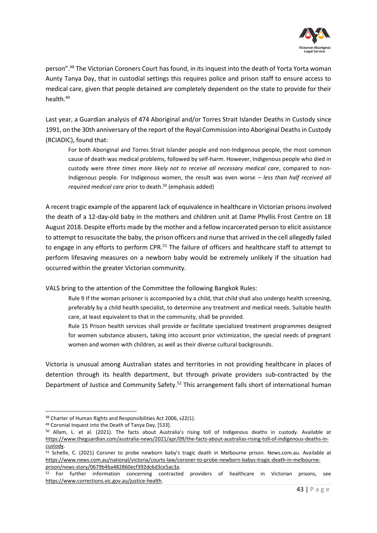

person".<sup>48</sup> The Victorian Coroners Court has found, in its inquest into the death of Yorta Yorta woman Aunty Tanya Day, that in custodial settings this requires police and prison staff to ensure access to medical care, given that people detained are completely dependent on the state to provide for their health.<sup>49</sup>

Last year, a Guardian analysis of 474 Aboriginal and/or Torres Strait Islander Deaths in Custody since 1991, on the 30th anniversary of the report of the Royal Commission into Aboriginal Deaths in Custody (RCIADIC), found that:

For both Aboriginal and Torres Strait Islander people and non-Indigenous people, the most common cause of death was medical problems, followed by self-harm. However, Indigenous people who died in custody were *three times more likely not to receive all necessary medical care*, compared to non-Indigenous people. For Indigenous women, the result was even worse – *less than half received all required medical care* prior to death.<sup>50</sup> (emphasis added)

A recent tragic example of the apparent lack of equivalence in healthcare in Victorian prisons involved the death of a 12-day-old baby in the mothers and children unit at Dame Phyllis Frost Centre on 18 August 2018. Despite efforts made by the mother and a fellow incarcerated person to elicit assistance to attempt to resuscitate the baby, the prison officers and nurse that arrived in the cell allegedly failed to engage in any efforts to perform CPR.<sup>51</sup> The failure of officers and healthcare staff to attempt to perform lifesaving measures on a newborn baby would be extremely unlikely if the situation had occurred within the greater Victorian community.

VALS bring to the attention of the Committee the following Bangkok Rules:

- Rule 9 If the woman prisoner is accompanied by a child, that child shall also undergo health screening, preferably by a child health specialist, to determine any treatment and medical needs. Suitable health care, at least equivalent to that in the community, shall be provided.
- Rule 15 Prison health services shall provide or facilitate specialized treatment programmes designed for women substance abusers, taking into account prior victimization, the special needs of pregnant women and women with children, as well as their diverse cultural backgrounds.

Victoria is unusual among Australian states and territories in not providing healthcare in places of detention through its health department, but through private providers sub-contracted by the Department of Justice and Community Safety.<sup>52</sup> This arrangement falls short of international human

<sup>48</sup> Charter of Human Rights and Responsibilities Act 2006, s22(1).

<sup>49</sup> Coronial Inquest into the Death of Tanya Day, [533].

<sup>50</sup> Allam, L. et al. (2021). The facts about Australia's rising toll of Indigenous deaths in custody. Available at [https://www.theguardian.com/australia-news/2021/apr/09/the-facts-about-australias-rising-toll-of-indigenous-deaths-in](https://www.theguardian.com/australia-news/2021/apr/09/the-facts-about-australias-rising-toll-of-indigenous-deaths-in-custody)[custody.](https://www.theguardian.com/australia-news/2021/apr/09/the-facts-about-australias-rising-toll-of-indigenous-deaths-in-custody)

<sup>51</sup> Schelle, C. (2021) Coroner to probe newborn baby's tragic death in Melbourne prison. News.com.au. Available at [https://www.news.com.au/national/victoria/courts-law/coroner-to-probe-newborn-babys-tragic-death-in-melbourne](https://www.news.com.au/national/victoria/courts-law/coroner-to-probe-newborn-babys-tragic-death-in-melbourne-prison/news-story/0679b4ba482860ecf392dc6d3ce5ac3a)[prison/news-story/0679b4ba482860ecf392dc6d3ce5ac3a.](https://www.news.com.au/national/victoria/courts-law/coroner-to-probe-newborn-babys-tragic-death-in-melbourne-prison/news-story/0679b4ba482860ecf392dc6d3ce5ac3a)

<sup>&</sup>lt;sup>52</sup> For further information concerning contracted providers of healthcare in Victorian prisons, see [https://www.corrections.vic.gov.au/justice-health.](https://www.corrections.vic.gov.au/justice-health)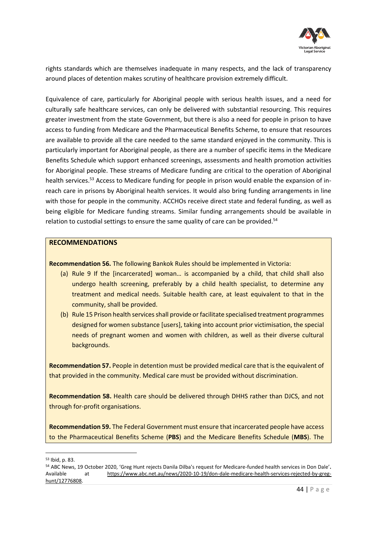

rights standards which are themselves inadequate in many respects, and the lack of transparency around places of detention makes scrutiny of healthcare provision extremely difficult.

Equivalence of care, particularly for Aboriginal people with serious health issues, and a need for culturally safe healthcare services, can only be delivered with substantial resourcing. This requires greater investment from the state Government, but there is also a need for people in prison to have access to funding from Medicare and the Pharmaceutical Benefits Scheme, to ensure that resources are available to provide all the care needed to the same standard enjoyed in the community. This is particularly important for Aboriginal people, as there are a number of specific items in the Medicare Benefits Schedule which support enhanced screenings, assessments and health promotion activities for Aboriginal people. These streams of Medicare funding are critical to the operation of Aboriginal health services.<sup>53</sup> Access to Medicare funding for people in prison would enable the expansion of inreach care in prisons by Aboriginal health services. It would also bring funding arrangements in line with those for people in the community. ACCHOs receive direct state and federal funding, as well as being eligible for Medicare funding streams. Similar funding arrangements should be available in relation to custodial settings to ensure the same quality of care can be provided.<sup>54</sup>

## **RECOMMENDATIONS**

**Recommendation 56.** The following Bankok Rules should be implemented in Victoria:

- (a) Rule 9 If the [incarcerated] woman… is accompanied by a child, that child shall also undergo health screening, preferably by a child health specialist, to determine any treatment and medical needs. Suitable health care, at least equivalent to that in the community, shall be provided.
- (b) Rule 15 Prison health services shall provide or facilitate specialised treatment programmes designed for women substance [users], taking into account prior victimisation, the special needs of pregnant women and women with children, as well as their diverse cultural backgrounds.

**Recommendation 57.** People in detention must be provided medical care that is the equivalent of that provided in the community. Medical care must be provided without discrimination.

**Recommendation 58.** Health care should be delivered through DHHS rather than DJCS, and not through for-profit organisations.

**Recommendation 59.** The Federal Government must ensure that incarcerated people have access to the Pharmaceutical Benefits Scheme (**PBS**) and the Medicare Benefits Schedule (**MBS**). The

<sup>53</sup> Ibid, p. 83.

<sup>54</sup> ABC News, 19 October 2020, 'Greg Hunt rejects Danila Dilba's request for Medicare-funded health services in Don Dale'**.**  Available at [https://www.abc.net.au/news/2020-10-19/don-dale-medicare-health-services-rejected-by-greg](https://www.abc.net.au/news/2020-10-19/don-dale-medicare-health-services-rejected-by-greg-hunt/12776808)[hunt/12776808.](https://www.abc.net.au/news/2020-10-19/don-dale-medicare-health-services-rejected-by-greg-hunt/12776808)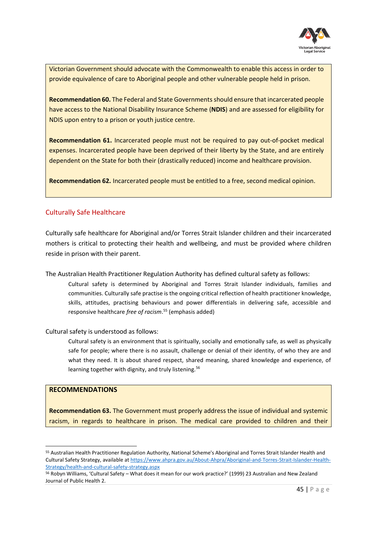

Victorian Government should advocate with the Commonwealth to enable this access in order to provide equivalence of care to Aboriginal people and other vulnerable people held in prison.

**Recommendation 60.** The Federal and State Governments should ensure that incarcerated people have access to the National Disability Insurance Scheme (**NDIS**) and are assessed for eligibility for NDIS upon entry to a prison or youth justice centre.

**Recommendation 61.** Incarcerated people must not be required to pay out-of-pocket medical expenses. Incarcerated people have been deprived of their liberty by the State, and are entirely dependent on the State for both their (drastically reduced) income and healthcare provision.

**Recommendation 62.** Incarcerated people must be entitled to a free, second medical opinion.

## <span id="page-44-0"></span>Culturally Safe Healthcare

Culturally safe healthcare for Aboriginal and/or Torres Strait Islander children and their incarcerated mothers is critical to protecting their health and wellbeing, and must be provided where children reside in prison with their parent.

The Australian Health Practitioner Regulation Authority has defined cultural safety as follows:

Cultural safety is determined by Aboriginal and Torres Strait Islander individuals, families and communities. Culturally safe practise is the ongoing critical reflection of health practitioner knowledge, skills, attitudes, practising behaviours and power differentials in delivering safe, accessible and responsive healthcare *free of racism*. <sup>55</sup> (emphasis added)

Cultural safety is understood as follows:

Cultural safety is an environment that is spiritually, socially and emotionally safe, as well as physically safe for people; where there is no assault, challenge or denial of their identity, of who they are and what they need. It is about shared respect, shared meaning, shared knowledge and experience, of learning together with dignity, and truly listening.<sup>56</sup>

#### **RECOMMENDATIONS**

**Recommendation 63.** The Government must properly address the issue of individual and systemic racism, in regards to healthcare in prison. The medical care provided to children and their

<sup>55</sup> Australian Health Practitioner Regulation Authority, National Scheme's Aboriginal and Torres Strait Islander Health and Cultural Safety Strategy, available a[t https://www.ahpra.gov.au/About-Ahpra/Aboriginal-and-Torres-Strait-Islander-Health-](https://www.ahpra.gov.au/About-Ahpra/Aboriginal-and-Torres-Strait-Islander-Health-Strategy/health-and-cultural-safety-strategy.aspx)[Strategy/health-and-cultural-safety-strategy.aspx](https://www.ahpra.gov.au/About-Ahpra/Aboriginal-and-Torres-Strait-Islander-Health-Strategy/health-and-cultural-safety-strategy.aspx)

<sup>56</sup> Robyn Williams, 'Cultural Safety – What does it mean for our work practice?' (1999) 23 Australian and New Zealand Journal of Public Health 2.